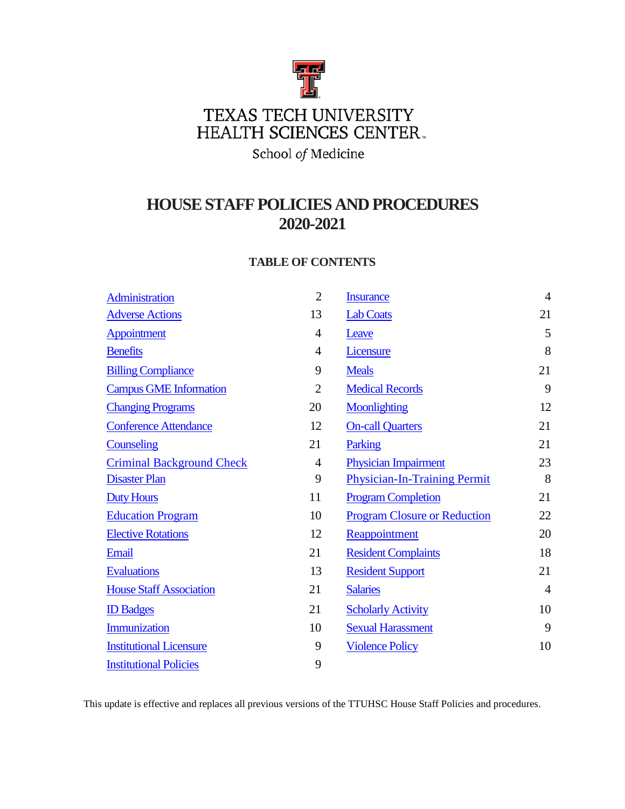

School of Medicine

# **HOUSESTAFF POLICIES AND PROCEDURES 2020-2021**

# **TABLE OF CONTENTS**

| <b>Administration</b>            | $\overline{2}$ | <b>Insurance</b>                    | $\overline{4}$ |
|----------------------------------|----------------|-------------------------------------|----------------|
| <b>Adverse Actions</b>           | 13             | <b>Lab Coats</b>                    | 21             |
| Appointment                      | 4              | Leave                               | 5              |
| <b>Benefits</b>                  | 4              | <b>Licensure</b>                    | 8              |
| <b>Billing Compliance</b>        | 9              | <b>Meals</b>                        | 21             |
| <b>Campus GME Information</b>    | $\overline{2}$ | <b>Medical Records</b>              | 9              |
| <b>Changing Programs</b>         | 20             | <b>Moonlighting</b>                 | 12             |
| <b>Conference Attendance</b>     | 12             | <b>On-call Quarters</b>             | 21             |
| <b>Counseling</b>                | 21             | Parking                             | 21             |
| <b>Criminal Background Check</b> | $\overline{4}$ | <b>Physician Impairment</b>         | 23             |
| <b>Disaster Plan</b>             | 9              | <b>Physician-In-Training Permit</b> | 8              |
| <b>Duty Hours</b>                | 11             | <b>Program Completion</b>           | 21             |
| <b>Education Program</b>         | 10             | <b>Program Closure or Reduction</b> | 22             |
| <b>Elective Rotations</b>        | 12             | Reappointment                       | 20             |
| Email                            | 21             | <b>Resident Complaints</b>          | 18             |
| <b>Evaluations</b>               | 13             | <b>Resident Support</b>             | 21             |
| <b>House Staff Association</b>   | 21             | <b>Salaries</b>                     | $\overline{4}$ |
| <b>ID Badges</b>                 | 21             | <b>Scholarly Activity</b>           | 10             |
| Immunization                     | 10             | <b>Sexual Harassment</b>            | 9              |
| <b>Institutional Licensure</b>   | 9              | <b>Violence Policy</b>              | 10             |
| <b>Institutional Policies</b>    | 9              |                                     |                |

This update is effective and replaces all previous versions of the TTUHSC House Staff Policies and procedures.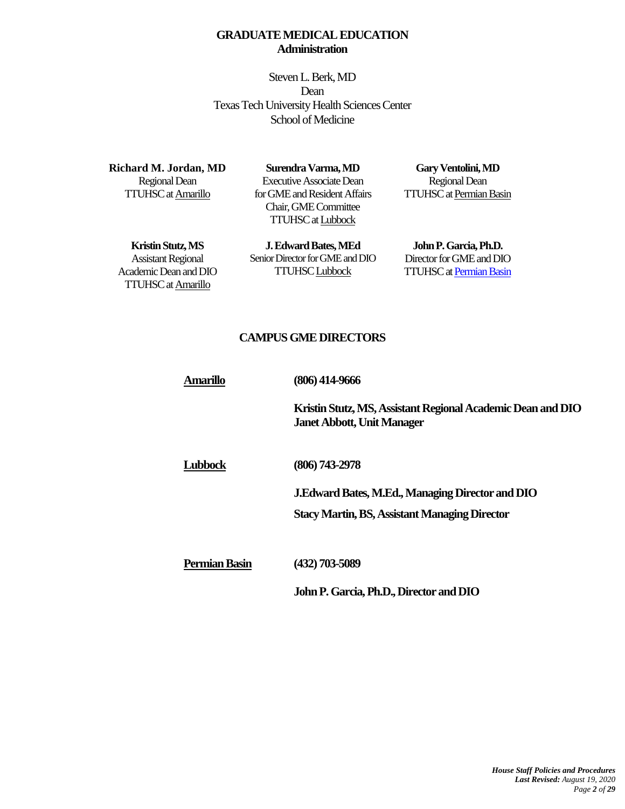# **GRADUATE MEDICAL EDUCATION Administration**

Steven L. Berk, MD Dean Texas Tech University Health Sciences Center School of Medicine

<span id="page-1-0"></span>**Richard M. Jordan, MD** Regional Dean TTUHSC a[t Amarillo](http://www.ttuhsc.edu/amarillo/som/)

**Surendra Varma, MD** Executive Associate Dean for GMEand Resident Affairs Chair, GME Committee TTUHSC a[t Lubbock](http://www.ttuhsc.edu/lubbock/)

**Gary Ventolini, MD** Regional Dean TTUHSC a[t Permian Basin](http://www.ttuhsc.edu/odessa/)

<span id="page-1-1"></span>**Kristin Stutz, MS** Assistant Regional Academic Deanand DIO TTUHSC a[t Amarillo](http://www.ttuhsc.edu/amarillo/som/)

**J. Edward Bates, MEd** Senior Director for GME and DIO TTUHS[C Lubbock](http://www.ttuhsc.edu/lubbock/)

**John P. Garcia, Ph.D.** Director for GME and DIO TTUHSC a[t Permian Basin](http://www.ttuhsc.edu/odessa/)

# **CAMPUS GME DIRECTORS**

| Amarillo             | $(806)$ 414-9666                                                                                 |  |
|----------------------|--------------------------------------------------------------------------------------------------|--|
|                      | Kristin Stutz, MS, Assistant Regional Academic Dean and DIO<br><b>Janet Abbott, Unit Manager</b> |  |
| <b>Lubbock</b>       | (806) 743-2978                                                                                   |  |
|                      | J.Edward Bates, M.Ed., Managing Director and DIO                                                 |  |
|                      | <b>Stacy Martin, BS, Assistant Managing Director</b>                                             |  |
| <b>Permian Basin</b> | $(432)$ 703-5089                                                                                 |  |
|                      | John P. Garcia, Ph.D., Director and DIO                                                          |  |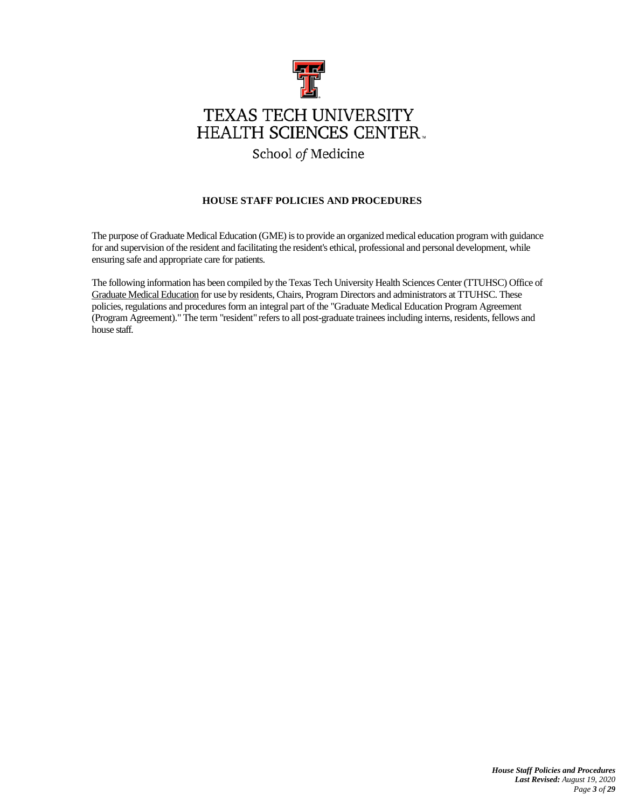

# School of Medicine

# **HOUSE STAFF POLICIES AND PROCEDURES**

The purpose of Graduate Medical Education (GME) is to provide an organized medical education program with guidance for and supervision of the resident and facilitating the resident's ethical, professional and personal development, while ensuring safe and appropriate care for patients.

The following information has been compiled by the Texas Tech University Health Sciences Center (TTUHSC) Office of [Graduate Medical Education](http://www.ttuhsc.edu/som/gme/) for use by residents, Chairs, Program Directors and administrators at TTUHSC. These policies, regulations and procedures form an integral part of the "Graduate Medical Education Program Agreement (Program Agreement)." The term "resident" refers to all post-graduate trainees including interns, residents, fellows and house staff.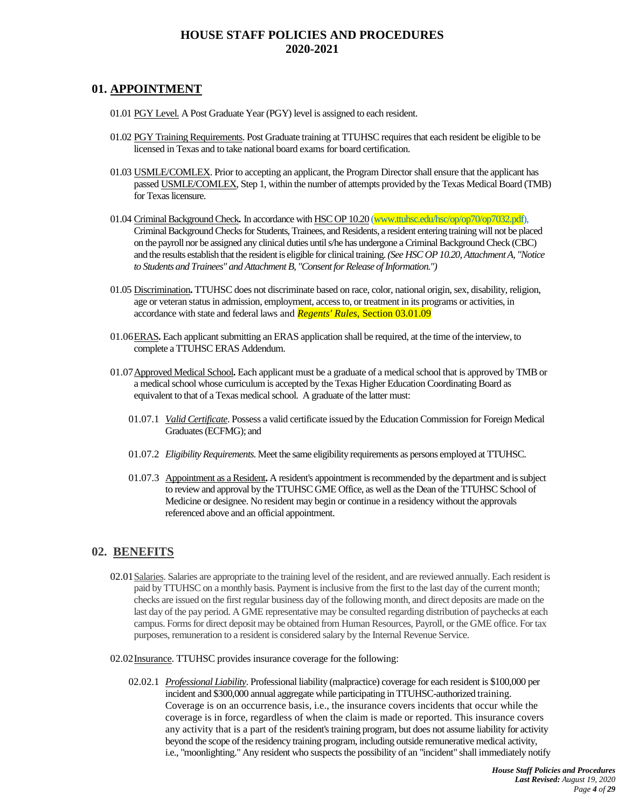# **HOUSE STAFF POLICIES AND PROCEDURES 2020-2021**

# <span id="page-3-1"></span>**01. APPOINTMENT**

- 01.01 PGY Level. A Post Graduate Year (PGY) level is assigned to each resident.
- 01.02 PGY Training Requirements. Post Graduate training at TTUHSC requires that each resident be eligible to be licensed in Texas and to take national board exams for board certification.
- <span id="page-3-3"></span>01.03 USMLE/COMLEX. Prior to accepting an applicant, the Program Director shall ensure that the applicant has passe[d USMLE/](http://www.usmle.org/)[COMLEX,](http://www.nbome.org/) Step 1, within the number of attempts provided by the Texas Medical Board (TMB) for Texas licensure.
- 01.04 Criminal Background Check**.** In accordance wit[h HSC OP 10.20](http://www.ttuhsc.edu/HSC/OP/OP10/op1020.pdf) (www.ttuhsc.edu/hsc/op/op70/op7032.pdf), Criminal Background Checks for Students, Trainees, and Residents, a resident entering training will not be placed on the payroll nor be assigned any clinical duties until s/he has undergone a Criminal Background Check (CBC) and the results establish that the resident is eligible for clinical training.*(See HSC OP 10.20, Attachment A, "Notice*  to Students and Trainees" and Attachment B, "Consent for Release of Information.")
- 01.05 Discrimination**.** TTUHSC does not discriminate based on race, color, national origin, sex, disability, religion, age or veteran status in admission, employment, access to, or treatment in its programs or activities, in accordance with state and federal laws and *Regents' Rules*, Section 03.01.09
- 01.06ERAS**.** Each applicant submitting a[n ERAS application](http://www.aamc.org/students/eras/) shall be required, at the time of the interview, to complete a TTUHSC ERAS Addendum.
- 01.07Approved Medical School**.** Each applicant must be a graduate of [a medical school that is approved](http://www.tmb.state.tx.us/professionals/physicians/applicants/education.php) by TMB or a medical school whose curriculum is accepted by the Texas Higher Education Coordinating Board as equivalent to that of a Texas medical school. A graduate of the latter must:
	- 01.07.1 *Valid Certificate*. Possess a valid certificate issued by th[e Education Commission for Foreign Medical](http://www.ecfmg.org/index.html)  [Graduates\(](http://www.ecfmg.org/index.html)ECFMG); and
	- 01.07.2 *Eligibility Requirements*. Meet the same eligibility requirements as persons employed at TTUHSC.
	- 01.07.3 Appointment as a Resident**.** A resident's appointment isrecommended by the department and issubject to review and approval by the TTUHSC GME Office, as well asthe Dean of the TTUHSC School of Medicine or designee. No resident may begin or continue in a residency without the approvals referenced above and an official appointment.

# <span id="page-3-4"></span><span id="page-3-2"></span>**02. BENEFITS**

- 02.01Salaries. Salaries are appropriate to the training level of the resident, and are reviewed annually. Each resident is paid by TTUHSC on a monthly basis. Payment is inclusive from the first to the last day of the current month; checks are issued on the first regular business day of the following month, and direct deposits are made on the last day of the pay period. A GME representative may be consulted regarding distribution of paychecks at each campus. Forms for direct deposit may be obtained from Human Resources, Payroll, or the GME office. For tax purposes, remuneration to a resident is considered salary by the Internal Revenue Service.
- <span id="page-3-0"></span>02.02Insurance. TTUHSC provides insurance coverage for the following:
	- 02.02.1 *Professional Liability*. Professional liability [\(malpractice\)](http://www.ttuhsc.edu/admin/riskmanagement/) coverage for each resident is \$100,000 per incident and \$300,000 annual aggregate while participating in TTUHSC-authorized training. Coverage is on an occurrence basis, i.e., the insurance covers incidents that occur while the coverage is in force, regardless of when the claim is made or reported. This insurance covers any activity that is a part of the resident's training program, but does not assume liability for activity beyond the scope of the residency training program, including outside remunerative medical activity, i.e., "moonlighting." Any resident who suspects the possibility of an "incident" shall immediately notify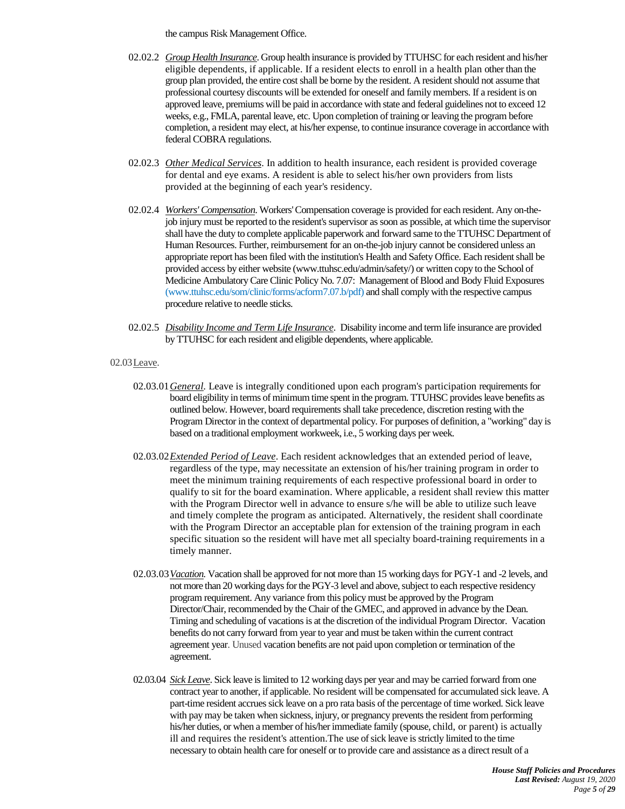the campus Risk Management Office.

- 02.02.2 *[Group Health Insurance](http://www.ttuhsc.edu/som/gme/salaries.aspx)*. Group health insurance is provided by TTUHSC for each resident and his/her eligible dependents, if applicable. If a resident elects to enroll in a health plan other than the group plan provided, the entire cost shall be borne by the resident. A resident should not assume that professional courtesy discounts will be extended for oneself and family members. If a resident is on approved leave, premiums will be paid in accordance with state and federal guidelines not to exceed 12 weeks, e.g., FMLA, parental leave, etc. Upon completion of training or leaving the program before completion, a resident may elect, at his/her expense, to continue insurance coverage in accordance with federal COBRA regulations.
- 02.02.3 *Other Medical Services*. In addition to health insurance, each resident is provided coverage for dental and eye exams. A resident is able to select his/her own providers from lists provided at the beginning of each year's residency.
- 02.02.4 *Workers' [Compensation](http://www.ttuhsc.edu/hsc/op/op70/op7013.pdf)*. Workers' Compensation coverage is provided for each resident. Any on-thejob injury must be reported to the resident's supervisor as soon as possible, at which time the supervisor shall have the duty to complete applicable paperwork and forward same to the TTUHSC Department of Human Resources. Further, reimbursement for an on-the-job injury cannot be considered unless an appropriate report has been filed with the institution's Health and Safety Office. Each resident shall be provided access by either website (www.ttuhsc.edu/admin/safety/) or written copy to the School of Medicine Ambulatory Care Clinic Policy No. 7.07: Management [of Blood and Body Fluid Exposures](http://www.ttuhsc.edu/som/clinic/policies/ACPolicy7.07.pdf) (www.ttuhsc.edu/som/clinic/forms/acform7.07.b/pdf) and shall comply with the respective campus procedure relative to needle sticks.
- 02.02.5 *Disability Income and Term Life Insurance*. Disability income and term life insurance are provided by TTUHSC for each resident and eligible dependents, where applicable.

#### <span id="page-4-0"></span>02.03Leave.

- 02.03.01*General*. Leave is integrally conditioned upon each program's participation requirements for board eligibility in terms of minimum time spent in the program. TTUHSC provides leave benefits as outlined below. However, board requirements shall take precedence, discretion resting with the Program Director in the context of departmental policy. For purposes of definition, a "working" day is based on a traditional employment workweek, i.e., 5 working days per week.
- 02.03.02*Extended Period of Leave*. Each resident acknowledges that an extended period of leave, regardless of the type, may necessitate an extension of his/her training program in order to meet the minimum training requirements of each respective professional board in order to qualify to sit for the board examination. Where applicable, a resident shall review this matter with the Program Director well in advance to ensure s/he will be able to utilize such leave and timely complete the program as anticipated. Alternatively, the resident shall coordinate with the Program Director an acceptable plan for extension of the training program in each specific situation so the resident will have met all specialty board-training requirements in a timely manner.
- 02.03.03*Vacation.* Vacation shall be approved for not more than 15 working days for PGY-1 and -2 levels, and not more than 20 working days for the PGY-3 level and above, subject to each respective residency program requirement. Any variance from this policy must be approved by the Program Director/Chair, recommended by the Chair of the GMEC, and approved in advance by the Dean. Timing and scheduling of vacations is at the discretion of the individual Program Director. Vacation benefits do not carry forward from year to year and must be taken within the current contract agreement year. Unused vacation benefits are not paid upon completion or termination of the agreement.
- 02.03.04 *Sick Leave*. Sick leave is limited to 12 working days per year and may be carried forward from one contract year to another, if applicable. No resident will be compensated for accumulated sick leave. A part-time resident accrues sick leave on a pro rata basis of the percentage of time worked. Sick leave with pay may be taken when sickness, injury, or pregnancy prevents the resident from performing his/her duties, or when a member of his/her immediate family (spouse, child, or parent) is actually ill and requires the resident's attention.The use of sick leave is strictly limited to the time necessary to obtain health care for oneself or to provide care and assistance as a direct result of a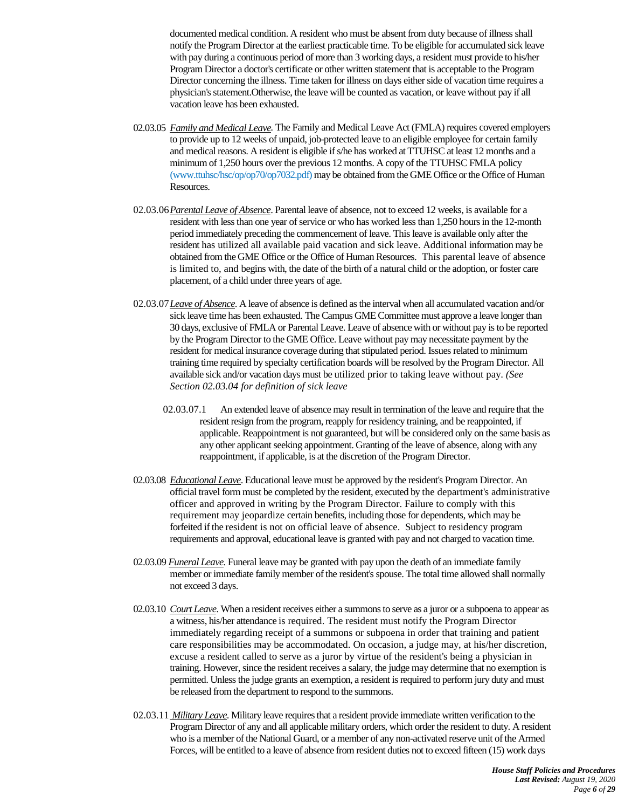documented medical condition. A resident who must be absent from duty because of illness shall notify the Program Director at the earliest practicable time. To be eligible for accumulated sick leave with pay during a continuous period of more than 3 working days, a resident must provide to his/her Program Director a doctor's certificate or other written statement that is acceptable to the Program Director concerning the illness. Time taken for illness on days either side of vacation time requires a physician's statement.Otherwise, the leave will be counted as vacation, or leave without pay if all vacation leave has been exhausted.

- 02.03.05 *[Family and Medical Leave.](http://www.dol.gov/whd/fmla/index.htm)* The Family and Medical Leave Act (FMLA) requires covered employers to provide up to 12 weeks of unpaid, job-protected leave to an eligible employee for certain family and medical reasons. A resident is eligible ifs/he has worked at TTUHSC at least 12 months and a minimum of 1,250 hours over the previous 12 months. A copy of the TTUHSC FMLA policy (www.ttuhsc/hsc/op/op70/op7032.pdf) may be obtained from th[e GME O](http://www.ttuhsc.edu/som/gme/)ffice or the Office o[f Human](http://www.ttuhsc.edu/hr/)  [Resources.](http://www.ttuhsc.edu/hr/)
- 02.03.06*Parental Leave of Absence*. Parental leave of absence, not to exceed 12 weeks, is available for a resident with less than one year of service or who has worked less than 1,250 hours in the 12-month period immediately preceding the commencement of leave. This leave is available only after the resident has utilized all available paid vacation and sick leave. Additional information may be obtained from th[e GME Office](http://www.ttuhsc.edu/som/gme/) or the Office of Human Resources. This parental leave of absence is limited to, and begins with, the date of the birth of a natural child or the adoption, or foster care placement, of a child under three years of age.
- 02.03.07*Leave of Absence*. A leave of absence is defined as the interval when all accumulated vacation and/or sick leave time has been exhausted. The Campus GME Committee must approve a leave longer than 30 days, exclusive of FMLA or Parental Leave. Leave of absence with or without pay is to be reported by the Program Director to the GME Office. Leave without pay may necessitate payment by the resident for medical insurance coverage during that stipulated period. Issues related to minimum training time required by specialty certification boards will be resolved by the Program Director. All available sick and/or vacation days must be utilized prior to taking leave without pay. *(See Section 02.03.04 for definition of sick leave*
	- 02.03.07.1 An extended leave of absence may result in termination of the leave and require that the resident resign from the program, reapply for residency training, and be reappointed, if applicable. Reappointment is not guaranteed, but will be considered only on the same basis as any other applicant seeking appointment. Granting of the leave of absence, along with any reappointment, if applicable, is at the discretion of the Program Director.
- 02.03.08 *Educational Leave*. Educational leave must be approved by the resident's Program Director. An official travel form must be completed by the resident, executed by the department's administrative officer and approved in writing by the Program Director. Failure to comply with this requirement may jeopardize certain benefits, including those for dependents, which may be forfeited if the resident is not on official leave of absence. Subject to residency program requirements and approval, educational leave is granted with pay and not charged to vacation time.
- 02.03.09 *Funeral Leave.* Funeral leave may be granted with pay upon the death of an immediate family member or immediate family member of the resident's spouse. The total time allowed shall normally not exceed 3 days.
- 02.03.10 *Court Leave*. When a resident receives either a summons to serve as a juror or a subpoena to appear as a witness, his/her attendance is required. The resident must notify the Program Director immediately regarding receipt of a summons or subpoena in order that training and patient care responsibilities may be accommodated. On occasion, a judge may, at his/her discretion, excuse a resident called to serve as a juror by virtue of the resident's being a physician in training. However, since the resident receives a salary, the judge may determine that no exemption is permitted. Unless the judge grants an exemption, a resident is required to perform jury duty and must be released from the department to respond to the summons.
- 02.03.11 *Military Leave*. Military leave requires that a resident provide immediate written verification to the Program Director of any and all applicable military orders, which order the resident to duty. A resident who is a member of the National Guard, or a member of any non-activated reserve unit of the Armed Forces, will be entitled to a leave of absence from resident duties not to exceed fifteen (15) work days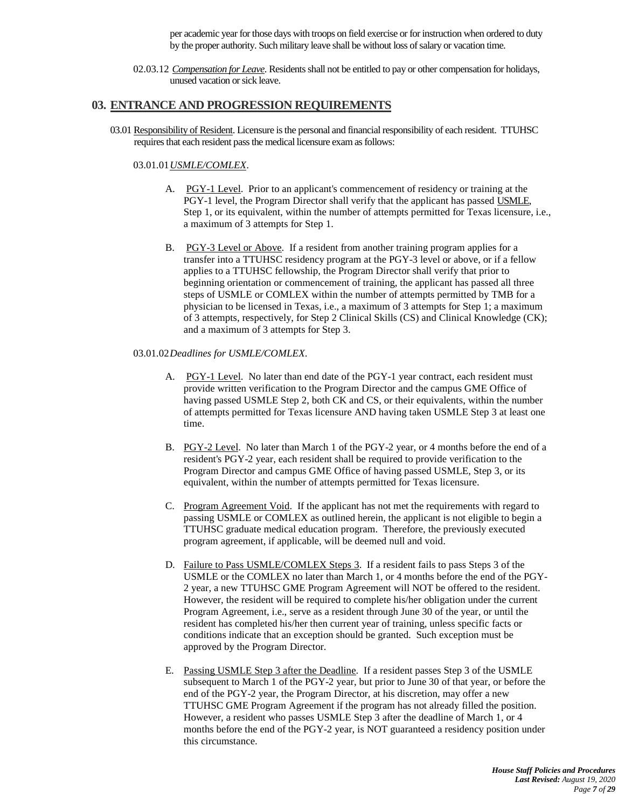per academic year for those days with troops on field exercise or for instruction when ordered to duty by the proper authority. Such military leave shall be without loss of salary or vacation time.

02.03.12 *Compensation for Leave*. Residents shall not be entitled to pay or other compensation for holidays, unused vacation or sick leave.

### **03. ENTRANCE AND PROGRESSION REQUIREMENTS**

03.01 Responsibility of Resident. Licensure is the personal and financial responsibility of each resident. TTUHSC requires that each resident pass the medical licensure exam as follows:

### 03.01.01*USMLE/COMLEX*.

- A. PGY-1 Level. Prior to an applicant's commencement of residency or training at the PGY-1 level, the Program Director shall verify that the applicant has passed USMLE, Step 1, or its equivalent, within the number of attempts permitted for Texas licensure, i.e., a maximum of 3 attempts for Step 1.
- B. PGY-3 Level or Above. If a resident from another training program applies for a transfer into a TTUHSC residency program at the PGY-3 level or above, or if a fellow applies to a TTUHSC fellowship, the Program Director shall verify that prior to beginning orientation or commencement of training, the applicant has passed all three steps of USMLE or COMLEX within the number of attempts permitted by TMB for a physician to be licensed in Texas, i.e., a maximum of 3 attempts for Step 1; a maximum of 3 attempts, respectively, for Step 2 Clinical Skills (CS) and Clinical Knowledge (CK); and a maximum of 3 attempts for Step 3.

#### 03.01.02*Deadlines for USMLE/COMLEX*.

- A. PGY-1 Level. No later than end date of the PGY-1 year contract, each resident must provide written verification to the Program Director and the campus GME Office of having passed USMLE Step 2, both CK and CS, or their equivalents, within the number of attempts permitted for Texas licensure AND having taken USMLE Step 3 at least one time.
- B. PGY-2 Level. No later than March 1 of the PGY-2 year, or 4 months before the end of a resident's PGY-2 year, each resident shall be required to provide verification to the Program Director and campus GME Office of having passed USMLE, Step 3, or its equivalent, within the number of attempts permitted for Texas licensure.
- C. Program Agreement Void. If the applicant has not met the requirements with regard to passing USMLE or COMLEX as outlined herein, the applicant is not eligible to begin a TTUHSC graduate medical education program. Therefore, the previously executed program agreement, if applicable, will be deemed null and void.
- D. Failure to Pass USMLE/COMLEX Steps 3. If a resident fails to pass Steps 3 of the USMLE or the COMLEX no later than March 1, or 4 months before the end of the PGY-2 year, a new TTUHSC GME Program Agreement will NOT be offered to the resident. However, the resident will be required to complete his/her obligation under the current Program Agreement, i.e., serve as a resident through June 30 of the year, or until the resident has completed his/her then current year of training, unless specific facts or conditions indicate that an exception should be granted. Such exception must be approved by the Program Director.
- E. Passing USMLE Step 3 after the Deadline. If a resident passes Step 3 of the USMLE subsequent to March 1 of the PGY-2 year, but prior to June 30 of that year, or before the end of the PGY-2 year, the Program Director, at his discretion, may offer a new TTUHSC GME Program Agreement if the program has not already filled the position. However, a resident who passes USMLE Step 3 after the deadline of March 1, or 4 months before the end of the PGY-2 year, is NOT guaranteed a residency position under this circumstance.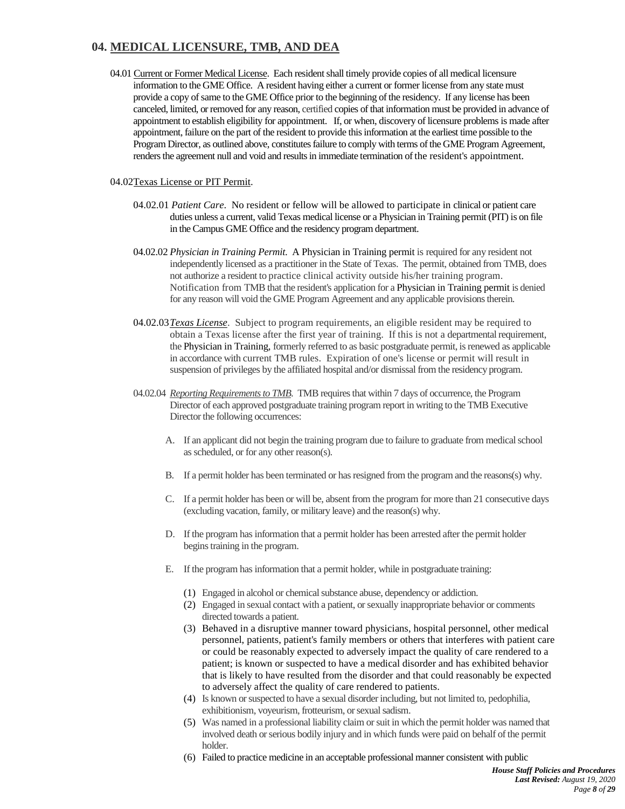# **04. MEDICAL LICENSURE, TMB, AND DEA**

04.01 Current or Former Medical License. Each resident shall timely provide copies of all medical licensure information to the GME Office. A resident having either a current or former license from any state must provide a copy of same to the GME Office prior to the beginning of the residency. If any license has been canceled, limited, or removed for any reason, certified copies of that information must be provided in advance of appointment to establish eligibility for appointment. If, or when, discovery of licensure problems is made after appointment, failure on the part of the resident to provide this information at the earliest time possible to the Program Director, as outlined above, constitutes failure to comply with terms of the GME Program Agreement, renders the agreement null and void and results in immediate termination of the resident's appointment.

### 04.02Texas License or PIT Permit.

- 04.02.01 *Patient Care*. No resident or fellow will be allowed to participate in clinical or patient care duties unless a current, valid Texas medical license or a Physician in Training permit (PIT) is on file in the Campus GME Office and the residency program department.
- <span id="page-7-0"></span>04.02.02 *Physician in Training Permit*. A Physician in Training permit is required for any resident not independently licensed as a practitioner in the State of Texas. The permit, obtained from TMB, does not authorize a resident to practice clinical activity outside his/her training program. Notification from TMB that the resident's application for a Physician in Training permit is denied for any reason will void the GME Program Agreement and any applicable provisionstherein.
- 04.02.03*[Texas License](http://www.tmb.state.tx.us/professionals/physicians/applicants/physicianapplicants.php)*. Subject to program requirements, an eligible resident may be required to obtain a Texas license after the first year of training. If this is not a departmental requirement, the Physician in Training, formerly referred to as basic postgraduate permit, is renewed as applicable in accordance with current TMB rules. Expiration of one's license or permit will result in suspension of privileges by the affiliated hospital and/or dismissal from the residency program.
- 04.02.04 *Reporting Requirements to TMB*. TMB requires that within 7 days of occurrence, the Program Director of each approved postgraduate training program report in writing to the TMB Executive Director the following occurrences:
	- A. If an applicant did not begin the training program due to failure to graduate from medical school as scheduled, or for any other reason(s).
	- B. If a permit holder has been terminated or has resigned from the program and the reasons(s) why.
	- C. If a permit holder has been or will be, absent from the program for more than 21 consecutive days (excluding vacation, family, or military leave) and the reason(s) why.
	- D. If the program has information that a permit holder has been arrested after the permit holder begins training in the program.
	- E. If the program has information that a permit holder, while in postgraduate training:
		- (1) Engaged in alcohol or chemical substance abuse, dependency or addiction.
		- (2) Engaged in sexual contact with a patient, or sexually inappropriate behavior or comments directed towards a patient.
		- (3) Behaved in a disruptive manner toward physicians, hospital personnel, other medical personnel, patients, patient's family members or others that interferes with patient care or could be reasonably expected to adversely impact the quality of care rendered to a patient; is known or suspected to have a medical disorder and has exhibited behavior that is likely to have resulted from the disorder and that could reasonably be expected to adversely affect the quality of care rendered to patients.
		- (4) Is known or suspected to have a sexual disorder including, but not limited to, pedophilia, exhibitionism, voyeurism, frotteurism, or sexual sadism.
		- (5) Was named in a professional liability claim or suit in which the permit holder was named that involved death or serious bodily injury and in which funds were paid on behalf of the permit holder.
		- (6) Failed to practice medicine in an acceptable professional manner consistent with public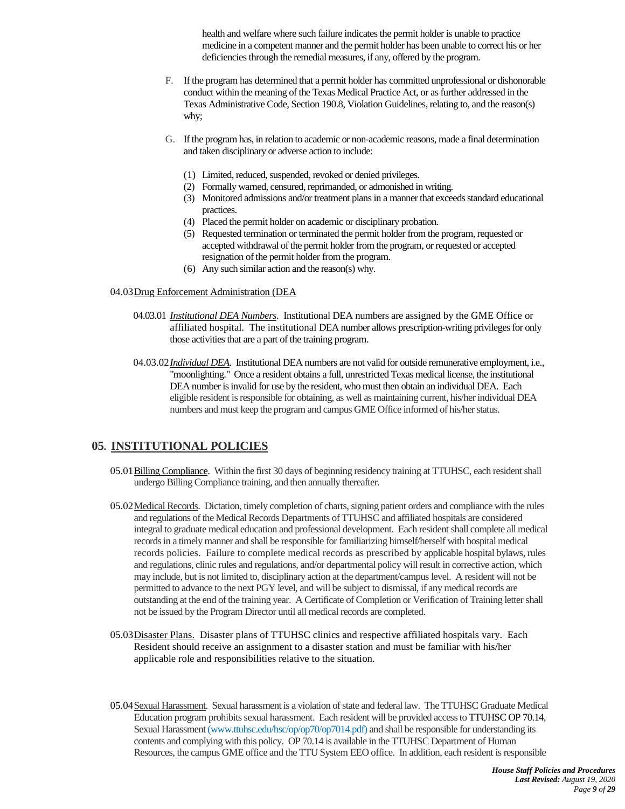health and welfare where such failure indicates the permit holder is unable to practice medicine in a competent manner and the permit holder has been unable to correct his or her deficiencies through the remedial measures, if any, offered by the program.

- F. If the program has determined that a permit holder has committed unprofessional or dishonorable conduct within the meaning of the Texas Medical Practice Act, or as further addressed in the Texas Administrative Code, Sectio[n 190.8, Violation Guidelines,](http://www.tmb.state.tx.us/rules/docs/Board_Rules_Effective_11_30_09.pdf) relating to, and the reason(s) why;
- G. If the program has, in relation to academic or non-academic reasons, made a final determination and taken disciplinary or adverse action to include:
	- (1) Limited, reduced, suspended, revoked or denied privileges.
	- (2) Formally warned, censured, reprimanded, or admonished in writing.
	- (3) Monitored admissions and/or treatment plans in a manner that exceeds standard educational practices.
	- (4) Placed the permit holder on academic or disciplinary probation.
	- (5) Requested termination or terminated the permit holder from the program, requested or accepted withdrawal of the permit holder from the program, or requested or accepted resignation of the permit holder from the program.
	- (6) Any such similar action and the reason(s) why.

#### <span id="page-8-4"></span>04.03Drug Enforcement Administration (DEA

- 04.03.01 *Institutional DEA Numbers*.Institutional DEA numbers are assigned by the GME Office or affiliated hospital. The institutional DEA number allows prescription-writing privileges for only those activities that are a part of the training program.
- 04.03.02*Individual DEA*. Institutional DEA numbers are not valid for outside remunerative employment, i.e., "moonlighting." Once a resident obtains a full, unrestricted Texas medical license, the institutional DEA number is invalid for use by the resident, who must then obtain an individual DEA. Each eligible resident is responsible for obtaining, as well as maintaining current, his/her individual DEA numbers and must keep the program and campus GME Office informed of his/her status.

## <span id="page-8-5"></span><span id="page-8-0"></span>**05. INSTITUTIONAL POLICIES**

- 05.01Billing Compliance. Within the first 30 days of beginning residency training at TTUHSC, each resident shall undergo Billing Compliance training, and then annually thereafter.
- <span id="page-8-1"></span>05.02 Medical Records. Dictation, timely completion of charts, signing patient orders and compliance with the rules and regulations of the Medical Records Departments of TTUHSC and affiliated hospitals are considered integral to graduate medical education and professional development. Each resident shall complete all medical records in a timely manner and shall be responsible for familiarizing himself/herself with hospital medical records policies. Failure to complete medical records as prescribed by applicable hospital bylaws, rules and regulations, clinic rules and regulations, and/or departmental policy will result in corrective action, which may include, but is not limited to, disciplinary action at the department/campus level. A resident will not be permitted to advance to the next PGY level, and will be subject to dismissal, if any medical records are outstanding at the end of the training year. A Certificate of Completion or Verification of Training letter shall not be issued by the Program Director until all medical records are completed.
- <span id="page-8-2"></span>05.03Disaster Plans. Disaster plans of TTUHSC clinics and respective affiliated hospitals vary. Each Resident should receive an assignment to a disaster station and must be familiar with his/her applicable role and responsibilities relative to the situation.
- <span id="page-8-3"></span>05.04Sexual Harassment. Sexual harassment is a violation of state and federal law. The TTUHSC Graduate Medical Education program prohibits sexual harassment. Each resident will be provided access t[o TTUHSC OP 70.14,](http://www.ttuhsc.edu/hsc/op/op70/op7014.pdf)  Sexual Harassment (www.ttuhsc.edu/hsc/op/op70/op7014.pdf) and shall be responsible for understanding its contents and complying with this policy. OP 70.14 is available in the TTUHSC Department of Human Resources, the campus GME office and the TTU System EEO office. In addition, each resident is responsible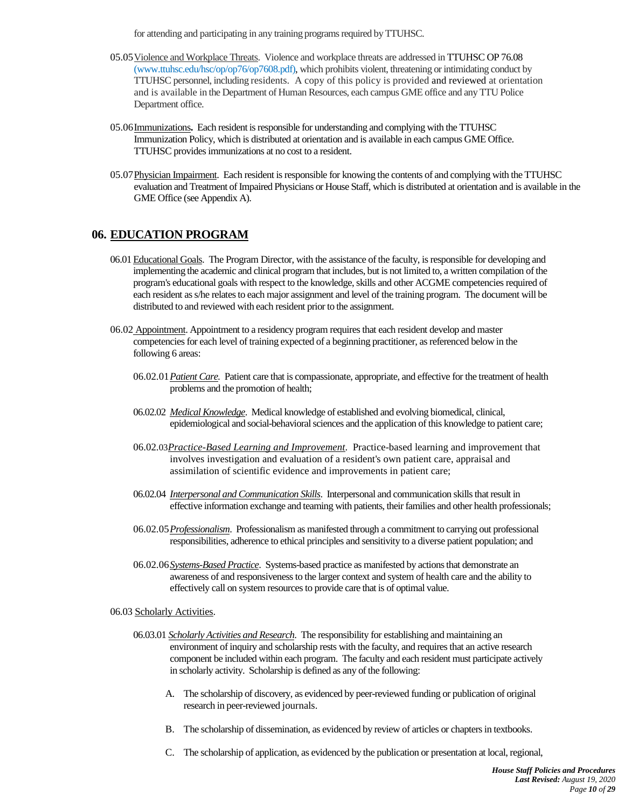for attending and participating in any training programs required by TTUHSC.

- <span id="page-9-3"></span>05.05Violence and Workplace Threats. Violence and workplace threats are addressed i[n TTUHSC OP 76.08](http://www.ttuhsc.edu/hsc/op/op76/op7608.pdf) (www.ttuhsc.edu/hsc/op/op76/op7608.pdf), which prohibits violent, threatening or intimidating conduct by TTUHSC personnel, including residents. A copy of this policy is provided and reviewed at orientation and is available in the Department of Human Resources, each campus GME office and any TTU Police Department office.
- <span id="page-9-2"></span>05.0[6Immunizations](http://www.ttuhsc.edu/hsc/op/op75/op7511b.pdf)**.** Each resident is responsible for understanding and complying with the TTUHSC Immunization Policy, which is distributed at orientation and is available in each campus GME Office. TTUHSC provides immunizations at no cost to a resident.
- 05.07 Physician Impairment. Each resident is responsible for knowing the contents of and complying with the TTUHSC evaluation and Treatment of Impaired Physicians or House Staff, which is distributed at orientation and is available in the GME Office [\(see](#page-22-0) Appendix A).

# <span id="page-9-0"></span>**06. EDUCATION PROGRAM**

- 06.01Educational Goals. The Program Director, with the assistance of the faculty, is responsible for developing and implementing the academic and clinical program that includes, but is not limited to, a written compilation of the program's educational goals with respect to the knowledge, skills and other ACGME competenciesrequired of each resident as s/he relates to each major assignment and level of the training program. The document will be distributed to and reviewed with each resident prior to the assignment.
- 06.02 Appointment. Appointment to a residency program requires that each resident develop and master competencies for each level of training expected of a beginning practitioner, as referenced below in the following 6 areas:
	- 06.02.01*Patient Care.* Patient care that is compassionate, appropriate, and effective for the treatment of health problems and the promotion of health;
	- 06.02.02 *Medical Knowledge*. Medical knowledge of established and evolving biomedical, clinical, epidemiological and social-behavioral sciences and the application of this knowledge to patient care;
	- 06.02.03*Practice-Based Learning and Improvement*. Practice-based learning and improvement that involves investigation and evaluation of a resident's own patient care, appraisal and assimilation of scientific evidence and improvements in patient care;
	- 06.02.04 *Interpersonal and Communication Skills*. Interpersonal and communication skills that result in effective information exchange and teaming with patients, their families and other health professionals;
	- 06.02.05*Professionalism*. Professionalism as manifested through a commitment to carrying out professional responsibilities, adherence to ethical principles and sensitivity to a diverse patient population; and
	- 06.02.06*Systems-Based Practice*. Systems-based practice as manifested by actions that demonstrate an awareness of and responsiveness to the larger context and system of health care and the ability to effectively call on system resources to provide care that is of optimal value.
- <span id="page-9-1"></span>06.03 Scholarly Activities.
	- 06.03.01 *Scholarly Activities and Research*. The responsibility for establishing and maintaining an environment of inquiry and scholarship rests with the faculty, and requires that an active research component be included within each program. The faculty and each resident must participate actively in scholarly activity. Scholarship is defined as any of the following:
		- A. The scholarship of discovery, as evidenced by peer-reviewed funding or publication of original research in peer-reviewed journals.
		- B. The scholarship of dissemination, as evidenced by review of articles or chapters in textbooks.
		- C. The scholarship of application, as evidenced by the publication or presentation at local, regional,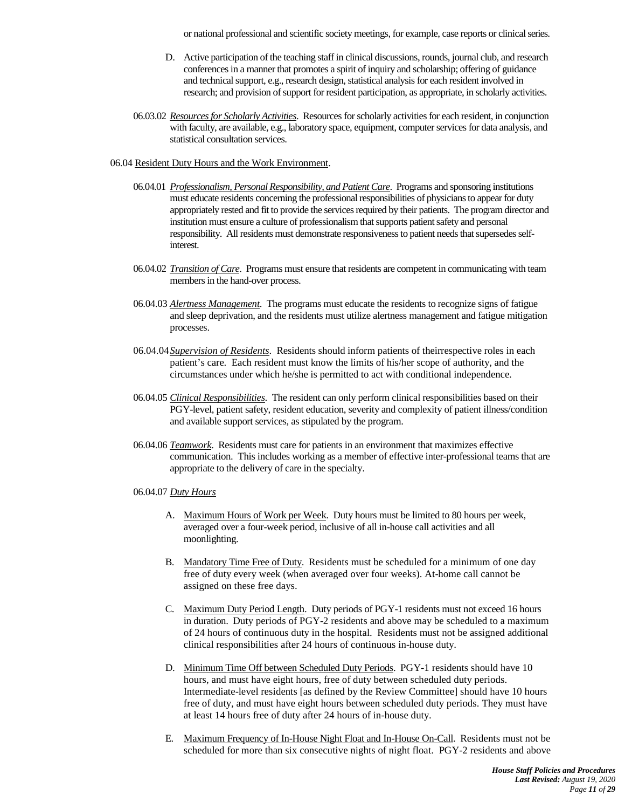or national professional and scientific society meetings, for example, case reports or clinical series.

- D. Active participation of the teaching staff in clinical discussions, rounds, journal club, and research conferencesin a manner that promotes a spirit of inquiry and scholarship; offering of guidance and technical support, e.g., research design, statistical analysis for each resident involved in research; and provision of support for resident participation, as appropriate, in scholarly activities.
- 06.03.02 *Resources for Scholarly Activities*. Resources for scholarly activities for each resident, in conjunction with faculty, are available, e.g., laboratory space, equipment, computer services for data analysis, and statistical consultation services.
- <span id="page-10-0"></span>06.04 Resident Duty Hours and the Work Environment.
	- 06.04.01 *Professionalism, Personal Responsibility, and Patient Care*. Programs and sponsoring institutions must educate residents concerning the professional responsibilities of physicians to appear for duty appropriately rested and fit to provide the services required by their patients. The program director and institution must ensure a culture of professionalism that supports patient safety and personal responsibility. All residents must demonstrate responsiveness to patient needs that supersedes selfinterest.
	- 06.04.02 *Transition of Care*. Programs must ensure that residents are competent in communicating with team members in the hand-over process.
	- 06.04.03 *[Alertness](http://acgme.org/acWebsite/dutyHours/dh_Lang703.pdf) Management*. The programs must educate the residents to recognize signs of fatigue and sleep deprivation, and the residents must utilize alertness management and fatigue mitigation processes.
	- 06.04.04*Supervision of Residents*. Residents should inform patients of theirrespective roles in each patient's care. Each resident must know the limits of his/her scope of authority, and the circumstances under which he/she is permitted to act with conditional independence.
	- 06.04.05 *Clinical Responsibilities*. The resident can only perform clinical responsibilities based on their PGY-level, patient safety, resident education, severity and complexity of patient illness/condition and available support services, as stipulated by the program.
	- 06.04.06 *Teamwork*. Residents must care for patients in an environment that maximizes effective communication. This includes working as a member of effective inter-professional teams that are appropriate to the delivery of care in the specialty.
	- 06.04.07 *Duty Hours*
		- A. Maximum Hours of Work per Week. Duty hours must be limited to 80 hours per week, averaged over a four-week period, inclusive of all in-house call activities and all moonlighting.
		- B. Mandatory Time Free of Duty. Residents must be scheduled for a minimum of one day free of duty every week (when averaged over four weeks). At-home call cannot be assigned on these free days.
		- C. Maximum Duty Period Length. Duty periods of PGY-1 residents must not exceed 16 hours in duration. Duty periods of PGY-2 residents and above may be scheduled to a maximum of 24 hours of continuous duty in the hospital. Residents must not be assigned additional clinical responsibilities after 24 hours of continuous in-house duty.
		- D. Minimum Time Off between Scheduled Duty Periods. PGY-1 residents should have 10 hours, and must have eight hours, free of duty between scheduled duty periods. Intermediate-level residents [as defined by the Review Committee] should have 10 hours free of duty, and must have eight hours between scheduled duty periods. They must have at least 14 hours free of duty after 24 hours of in-house duty.
		- E. Maximum Frequency of In-House Night Float and In-House On-Call. Residents must not be scheduled for more than six consecutive nights of night float. PGY-2 residents and above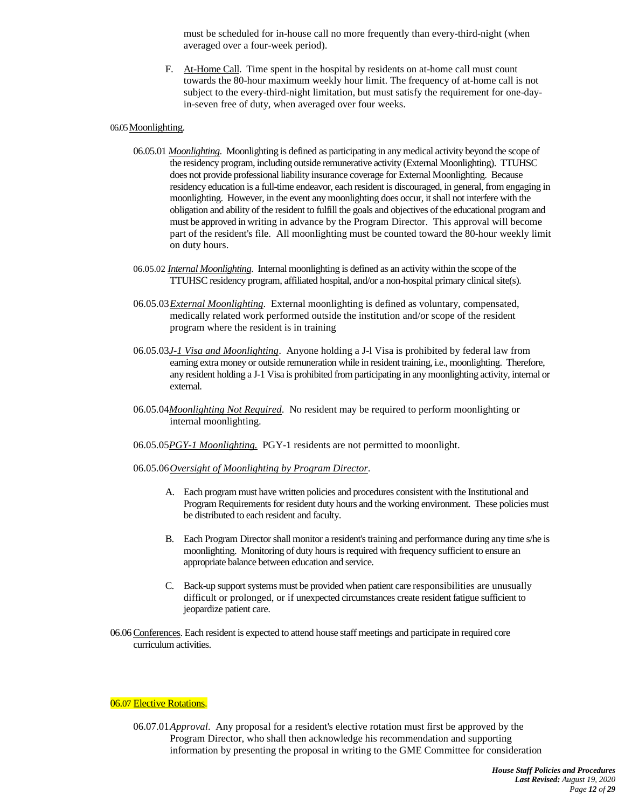must be scheduled for in-house call no more frequently than every-third-night (when averaged over a four-week period).

F. At-Home Call. Time spent in the hospital by residents on at-home call must count towards the 80-hour maximum weekly hour limit. The frequency of at-home call is not subject to the every-third-night limitation, but must satisfy the requirement for one-dayin-seven free of duty, when averaged over four weeks.

#### <span id="page-11-0"></span>06.05 Moonlighting.

- 06.05.01 *Moonlighting*. Moonlighting is defined as participating in any medical activity beyond the scope of the residency program, including outside remunerative activity (External Moonlighting). TTUHSC does not provide professional liability insurance coverage for External Moonlighting. Because residency education is a full-time endeavor, each resident is discouraged, in general, from engaging in moonlighting. However, in the event any moonlighting does occur, it shall not interfere with the obligation and ability of the resident to fulfill the goals and objectives of the educational program and must be approved in writing in advance by the Program Director. This approval will become part of the resident's file. All moonlighting must be counted toward the 80-hour weekly limit on duty hours.
- 06.05.02 *Internal Moonlighting*. Internal moonlighting is defined as an activity within the scope of the TTUHSC residency program, affiliated hospital, and/or a non-hospital primary clinical site(s).
- 06.05.03*External Moonlighting*. External moonlighting is defined as voluntary, compensated, medically related work performed outside the institution and/or scope of the resident program where the resident is in training
- 06.05.03*J-1 Visa and Moonlighting*. Anyone holding a J-l Visa is prohibited by federal law from earning extra money or outside remuneration while in resident training, i.e., moonlighting. Therefore, any resident holding a J-1 Visa is prohibited from participating in any moonlighting activity, internal or external.
- 06.05.04*Moonlighting Not Required*. No resident may be required to perform moonlighting or internal moonlighting.
- 06.05.05*PGY-1 Moonlighting.* PGY-1 residents are not permitted to moonlight.

#### 06.05.06*Oversight of Moonlighting by Program Director*.

- A. Each program must have written policies and procedures consistent with the Institutional and Program Requirements for resident duty hours and the working environment. These policies must be distributed to each resident and faculty.
- B. Each Program Director shall monitor a resident's training and performance during any time s/he is moonlighting. Monitoring of duty hours is required with frequency sufficient to ensure an appropriate balance between education and service.
- C. Back-up support systems must be provided when patient care responsibilities are unusually difficult or prolonged, or if unexpected circumstances create resident fatigue sufficient to jeopardize patient care.
- <span id="page-11-1"></span>06.06Conferences. Each resident is expected to attend house staff meetings and participate in required core curriculum activities.

#### <span id="page-11-2"></span>06.07 Elective Rotations.

06.07.01*Approval*. Any proposal for a resident's elective rotation must first be approved by the Program Director, who shall then acknowledge his recommendation and supporting information by presenting the proposal in writing to the GME Committee for consideration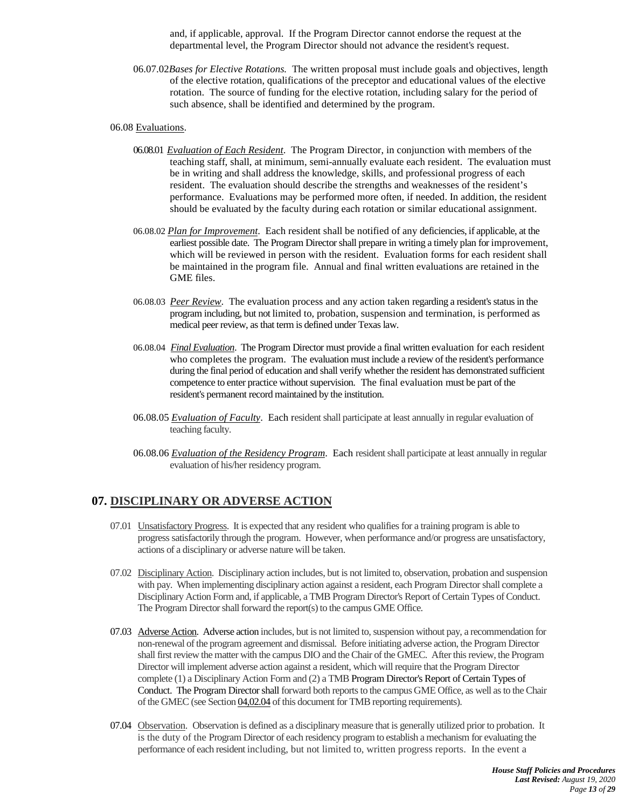and, if applicable, approval. If the Program Director cannot endorse the request at the departmental level, the Program Director should not advance the resident's request.

06.07.02*Bases for Elective Rotations.* The written proposal must include goals and objectives, length of the elective rotation, qualifications of the preceptor and educational values of the elective rotation. The source of funding for the elective rotation, including salary for the period of such absence, shall be identified and determined by the program.

#### 06.08 Evaluations.

- <span id="page-12-1"></span>06.08.01 *Evaluation of Each Resident*. The Program Director, in conjunction with members of the teaching staff, shall, at minimum, semi-annually evaluate each resident. The evaluation must be in writing and shall address the knowledge, skills, and professional progress of each resident. The evaluation should describe the strengths and weaknesses of the resident's performance. Evaluations may be performed more often, if needed. In addition, the resident should be evaluated by the faculty during each rotation or similar educational assignment.
- 06.08.02 *Plan for Improvement*. Each resident shall be notified of any deficiencies, if applicable, at the earliest possible date. The Program Director shall prepare in writing a timely plan for improvement, which will be reviewed in person with the resident. Evaluation forms for each resident shall be maintained in the program file. Annual and final written evaluations are retained in the GME files.
- 06.08.03 *Peer Review*. The evaluation process and any action taken regarding a resident's status in the program including, but not limited to, probation, suspension and termination, is performed as medical peer review, as that term is defined under Texas law.
- 06.08.04 *Final Evaluation*. The Program Director must provide a final written evaluation for each resident who completes the program. The evaluation must include a review of the resident's performance during the final period of education and shall verify whether the resident has demonstrated sufficient competence to enter practice without supervision. The final evaluation must be part of the resident's permanent record maintained by the institution.
- 06.08.05 *Evaluation of Faculty*. Each resident shall participate at least annually in regular evaluation of teaching faculty.
- 06.08.06 *Evaluation of the Residency Program*. Each resident shall participate at least annually in regular evaluation of his/her residency program.

# <span id="page-12-0"></span>**07. DISCIPLINARY OR ADVERSE ACTION**

- 07.01 Unsatisfactory Progress. It is expected that any resident who qualifies for a training program is able to progresssatisfactorily through the program. However, when performance and/or progress are unsatisfactory, actions of a disciplinary or adverse nature will be taken.
- 07.02 Disciplinary Action. Disciplinary action includes, but is not limited to, observation, probation and suspension with pay. When implementing disciplinary action against a resident, each Program Director shall complete a Disciplinary Action Form and, if applicable, a TMB Program Director's Report of Certain Types of Conduct. The Program Director shall forward the report(s) to the campus GME Office.
- 07.03 Adverse Action. Adverse action includes, but is not limited to, suspension without pay, a recommendation for non-renewal of the program agreement and dismissal. Before initiating adverse action, the Program Director shall first review the matter with the campus DIO and the Chair of the GMEC. After this review, the Program Director will implement adverse action against a resident, which will require that the Program Director complete (1) a Disciplinary Action Form and (2) a TM[B Program Director's Report of Certain Types of](http://www.tmb.state.tx.us/professionals/physicians/training/notification.php)  [Conduct.](http://www.tmb.state.tx.us/professionals/physicians/training/notification.php) The Program Director shall forward both reports to the campus GME Office, as well as to the Chair of the GMEC (see Section 04,02.04 of this document for TMB reporting requirements).
- 07.04 Observation. Observation is defined as a disciplinary measure that is generally utilized prior to probation. It is the duty of the Program Director of each residency program to establish a mechanism for evaluating the performance of each resident including, but not limited to, written progress reports. In the event a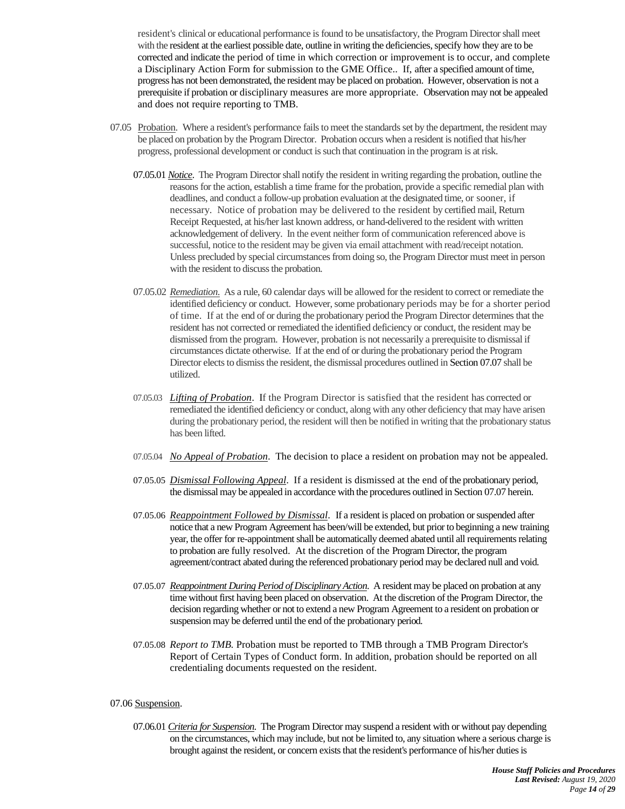resident's clinical or educational performance is found to be unsatisfactory, the Program Director shall meet with the resident at the earliest possible date, outline in writing the deficiencies, specify how they are to be corrected and indicate the period of time in which correction or improvement is to occur, and complete a Disciplinary Action Form for submission to the GME Office.. If, after a specified amount of time, progress has not been demonstrated, the resident may be placed on probation. However, observation is not a prerequisite if probation or disciplinary measures are more appropriate. Observation may not be appealed and does not require reporting to TMB.

- 07.05 Probation. Where a resident's performance fails to meet the standards set by the department, the resident may be placed on probation by the Program Director. Probation occurs when a resident is notified that his/her progress, professional development or conduct is such that continuation in the program is at risk.
	- 07.05.01 *Notice*. The Program Director shall notify the resident in writing regarding the probation, outline the reasons for the action, establish a time frame for the probation, provide a specific remedial plan with deadlines, and conduct a follow-up probation evaluation at the designated time, or sooner, if necessary. Notice of probation may be delivered to the resident by certified mail, Return Receipt Requested, at his/her last known address, or hand-delivered to the resident with written acknowledgement of delivery. In the event neither form of communication referenced above is successful, notice to the resident may be given via email attachment with read/receipt notation. Unless precluded by special circumstances from doing so, the Program Director must meet in person with the resident to discuss the probation.
	- 07.05.02 *Remediation*. As a rule, 60 calendar days will be allowed for the resident to correct or remediate the identified deficiency or conduct. However, some probationary periods may be for a shorter period of time. If at the end of or during the probationary period the Program Director determines that the resident has not corrected or remediated the identified deficiency or conduct, the resident may be dismissed from the program. However, probation is not necessarily a prerequisite to dismissal if circumstances dictate otherwise. If at the end of or during the probationary period the Program Director elects to dismiss the resident, the dismissal procedures outlined i[n Section 0](#page-14-0)7.07 shall be utilized.
	- 07.05.03 *Lifting of Probation*. If the Program Director is satisfied that the resident has corrected or remediated the identified deficiency or conduct, along with any other deficiency that may have arisen during the probationary period, the resident will then be notified in writing that the probationary status has been lifted.
	- 07.05.04 *No Appeal of Probation*. The decision to place a resident on probation may not be appealed.
	- 07.05.05 *Dismissal Following Appeal*. If a resident is dismissed at the end of the probationary period, the dismissal may be appealed in accordance with the procedures outlined in Section 07.07 herein.
	- 07.05.06 *Reappointment Followed by Dismissal*. If a resident is placed on probation or suspended after notice that a new Program Agreement has been/will be extended, but prior to beginning a new training year, the offer for re-appointment shall be automatically deemed abated until all requirements relating to probation are fully resolved. At the discretion of the Program Director, the program agreement/contract abated during the referenced probationary period may be declared null and void.
	- 07.05.07 *Reappointment During Period of Disciplinary Action*. A resident may be placed on probation at any time without first having been placed on observation. At the discretion of the Program Director, the decision regarding whether or not to extend a new Program Agreement to a resident on probation or suspension may be deferred until the end of the probationary period.
	- 07.05.08 *Report to TMB.* Probation must be reported to TMB through a TMB Program Director's Report of Certain Types of Conduct form. In addition, probation should be reported on all credentialing documents requested on the resident.

#### 07.06 Suspension.

07.06.01 *Criteria for Suspension.* The Program Director may suspend a resident with or without pay depending on the circumstances, which may include, but not be limited to, any situation where a serious charge is brought against the resident, or concern exists that the resident's performance of his/her duties is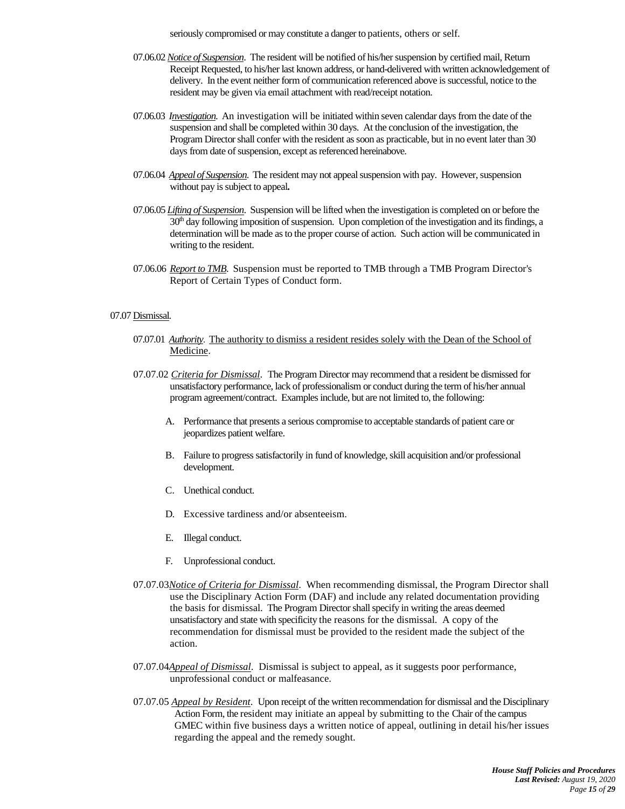seriously compromised or may constitute a danger to patients, others or self.

- 07.06.02*Notice of Suspension*. The resident will be notified of his/her suspension by certified mail, Return Receipt Requested, to his/her last known address, or hand-delivered with written acknowledgement of delivery. In the event neither form of communication referenced above is successful, notice to the resident may be given via email attachment with read/receipt notation.
- 07.06.03 *Investigation*. An investigation will be initiated within seven calendar days from the date of the suspension and shall be completed within 30 days. At the conclusion of the investigation, the Program Director shall confer with the resident as soon as practicable, but in no event later than 30 days from date of suspension, except as referenced hereinabove.
- 07.06.04 *Appeal of Suspension*. The resident may not appeal suspension with pay. However, suspension without pay is subject to appeal**.**
- 07.06.05 *Lifting of Suspension*. Suspension will be lifted when the investigation is completed on or before the 30<sup>th</sup> day following imposition of suspension. Upon completion of the investigation and its findings, a determination will be made as to the proper course of action. Such action will be communicated in writing to the resident.
- 07.06.06 *Report to TMB*. Suspension must be reported to TMB through a TMB Program Director's Report of Certain Types of Conduct form.

#### <span id="page-14-0"></span>07.07 Dismissal.

- 07.07.01 *Authority*. The authority to dismiss a resident resides solely with the Dean of the School of Medicine.
- 07.07.02 *Criteria for Dismissal*. The Program Director may recommend that a resident be dismissed for unsatisfactory performance, lack of professionalism or conduct during the term of his/her annual program agreement/contract. Examples include, but are not limited to, the following:
	- A. Performance that presents a serious compromise to acceptable standards of patient care or jeopardizes patient welfare.
	- B. Failure to progress satisfactorily in fund of knowledge, skill acquisition and/or professional development.
	- C. Unethical conduct.
	- D. Excessive tardiness and/or absenteeism.
	- E. Illegal conduct.
	- F. Unprofessional conduct.
- 07.07.03*Notice of Criteria for Dismissal*. When recommending dismissal, the Program Director shall use the Disciplinary Action Form (DAF) and include any related documentation providing the basis for dismissal. The Program Director shall specify in writing the areas deemed unsatisfactory and state with specificity the reasons for the dismissal. A copy of the recommendation for dismissal must be provided to the resident made the subject of the action.
- 07.07.04*Appeal of Dismissal*. Dismissal is subject to appeal, as it suggests poor performance, unprofessional conduct or malfeasance.
- 07.07.05 *Appeal by Resident*. Upon receipt of the written recommendation for dismissal and the Disciplinary Action Form, the resident may initiate an appeal by submitting to the Chair of the campus GMEC within five business days a written notice of appeal, outlining in detail his/her issues regarding the appeal and the remedy sought.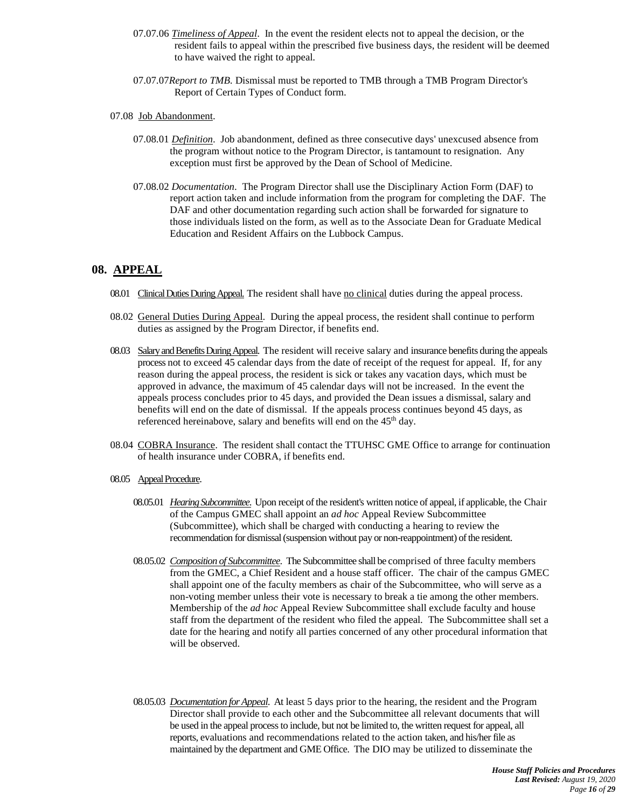- 07.07.06 *Timeliness of Appeal*. In the event the resident elects not to appeal the decision, or the resident fails to appeal within the prescribed five business days, the resident will be deemed to have waived the right to appeal.
- 07.07.07*Report to TMB.* Dismissal must be reported to TMB through a TMB Program Director's Report of Certain Types of Conduct form.
- 07.08 Job Abandonment.
	- 07.08.01 *Definition*. Job abandonment, defined as three consecutive days' unexcused absence from the program without notice to the Program Director, is tantamount to resignation. Any exception must first be approved by the Dean of School of Medicine.
	- 07.08.02 *Documentation*. The Program Director shall use the Disciplinary Action Form (DAF) to report action taken and include information from the program for completing the DAF. The DAF and other documentation regarding such action shall be forwarded for signature to those individuals listed on the form, as well as to the Associate Dean for Graduate Medical Education and Resident Affairs on the Lubbock Campus.

# **08. APPEAL**

- 08.01 Clinical Duties During Appeal. The resident shall have no clinical duties during the appeal process.
- 08.02 General Duties During Appeal. During the appeal process, the resident shall continue to perform duties as assigned by the Program Director, if benefits end.
- 08.03 Salary and Benefits During Appeal. The resident will receive salary and insurance benefits during the appeals process not to exceed 45 calendar days from the date of receipt of the request for appeal. If, for any reason during the appeal process, the resident is sick or takes any vacation days, which must be approved in advance, the maximum of 45 calendar days will not be increased. In the event the appeals process concludes prior to 45 days, and provided the Dean issues a dismissal, salary and benefits will end on the date of dismissal. If the appeals process continues beyond 45 days, as referenced hereinabove, salary and benefits will end on the 45<sup>th</sup> day.
- 08.04 COBRA Insurance. The resident shall contact the TTUHSC GME Office to arrange for continuation of health insurance under COBRA, if benefits end.
- 08.05 Appeal Procedure.
	- 08.05.01 *Hearing Subcommittee*. Upon receipt of the resident's written notice of appeal, if applicable, the Chair of the Campus GMEC shall appoint an *ad hoc* Appeal Review Subcommittee (Subcommittee), which shall be charged with conducting a hearing to review the recommendation for dismissal(suspension without pay or non-reappointment) of the resident.
	- 08.05.02 *Composition of Subcommittee*. The Subcommittee shall be comprised of three faculty members from the GMEC, a Chief Resident and a house staff officer. The chair of the campus GMEC shall appoint one of the faculty members as chair of the Subcommittee, who will serve as a non-voting member unless their vote is necessary to break a tie among the other members. Membership of the *ad hoc* Appeal Review Subcommittee shall exclude faculty and house staff from the department of the resident who filed the appeal. The Subcommittee shall set a date for the hearing and notify all parties concerned of any other procedural information that will be observed.
	- 08.05.03 *Documentation for Appeal*. At least 5 days prior to the hearing, the resident and the Program Director shall provide to each other and the Subcommittee all relevant documents that will be used in the appeal process to include, but not be limited to, the written request for appeal, all reports, evaluations and recommendations related to the action taken, and his/her file as maintained by the department and GME Office. The DIO may be utilized to disseminate the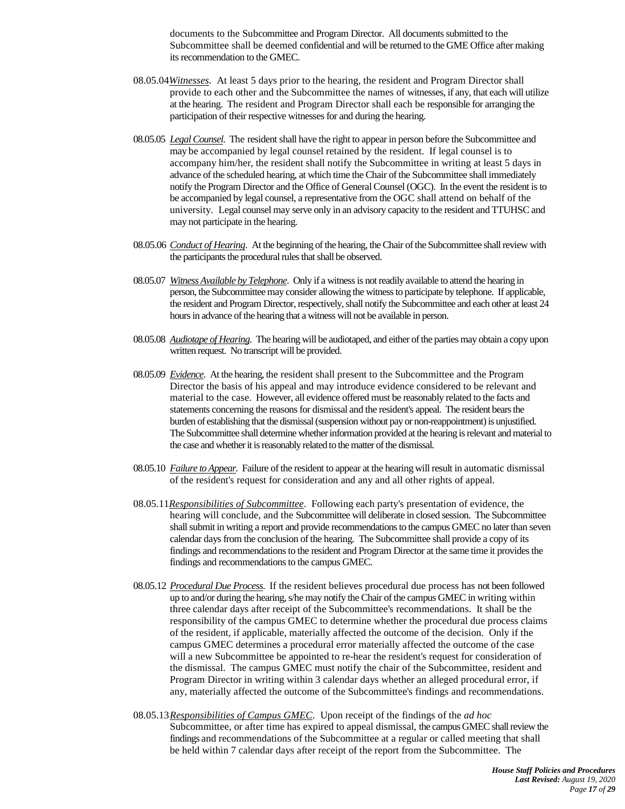documents to the Subcommittee and Program Director. All documents submitted to the Subcommittee shall be deemed confidential and will be returned to the GME Office after making its recommendation to the GMEC.

- 08.05.04*Witnesses*. At least 5 days prior to the hearing, the resident and Program Director shall provide to each other and the Subcommittee the names of witnesses, if any, that each will utilize at the hearing. The resident and Program Director shall each be responsible for arranging the participation of their respective witnesses for and during the hearing.
- 08.05.05 *Legal Counsel*. The resident shall have the right to appear in person before the Subcommittee and may be accompanied by legal counsel retained by the resident. If legal counsel is to accompany him/her, the resident shall notify the Subcommittee in writing at least 5 days in advance of the scheduled hearing, at which time the Chair of the Subcommittee shall immediately notify the Program Director and the Office of General Counsel (OGC). In the event the resident is to be accompanied by legal counsel, a representative from the OGC shall attend on behalf of the university. Legal counsel may serve only in an advisory capacity to the resident and TTUHSC and may not participate in the hearing.
- 08.05.06 *Conduct of Hearing*. At the beginning of the hearing, the Chair of the Subcommittee shall review with the participants the procedural rules that shall be observed.
- 08.05.07 *Witness Available by Telephone*. Only if a witness is not readily available to attend the hearing in person, the Subcommittee may consider allowing the witness to participate by telephone. If applicable, the resident and Program Director, respectively, shall notify the Subcommittee and each other at least 24 hours in advance of the hearing that a witness will not be available in person.
- 08.05.08 *Audiotape of Hearing*. The hearing will be audiotaped, and either of the parties may obtain a copy upon written request. No transcript will be provided.
- 08.05.09 *Evidence*. At the hearing, the resident shall present to the Subcommittee and the Program Director the basis of his appeal and may introduce evidence considered to be relevant and material to the case. However, all evidence offered must be reasonably related to the facts and statements concerning the reasons for dismissal and the resident's appeal. The resident bears the burden of establishing that the dismissal (suspension without pay or non-reappointment) is unjustified. The Subcommittee shall determine whether information provided at the hearing is relevant and material to the case and whether it is reasonably related to the matter of the dismissal.
- 08.05.10 *Failure to Appear*. Failure of the resident to appear at the hearing will result in automatic dismissal of the resident's request for consideration and any and all other rights of appeal.
- 08.05.11*Responsibilities of Subcommittee*. Following each party's presentation of evidence, the hearing will conclude, and the Subcommittee will deliberate in closed session. The Subcommittee shall submit in writing a report and provide recommendations to the campus GMEC no later than seven calendar days from the conclusion of the hearing. The Subcommittee shall provide a copy of its findings and recommendations to the resident and Program Director at the same time it provides the findings and recommendations to the campus GMEC.
- 08.05.12 *Procedural Due Process*. If the resident believes procedural due process has not been followed up to and/or during the hearing, s/he may notify the Chair of the campus GMEC in writing within three calendar days after receipt of the Subcommittee's recommendations. It shall be the responsibility of the campus GMEC to determine whether the procedural due process claims of the resident, if applicable, materially affected the outcome of the decision. Only if the campus GMEC determines a procedural error materially affected the outcome of the case will a new Subcommittee be appointed to re-hear the resident's request for consideration of the dismissal. The campus GMEC must notify the chair of the Subcommittee, resident and Program Director in writing within 3 calendar days whether an alleged procedural error, if any, materially affected the outcome of the Subcommittee's findings and recommendations.
- 08.05.13*Responsibilities of Campus GMEC*. Upon receipt of the findings of the *ad hoc* Subcommittee, or after time has expired to appeal dismissal, the campus GMEC shall review the findings and recommendations of the Subcommittee at a regular or called meeting that shall be held within 7 calendar days after receipt of the report from the Subcommittee. The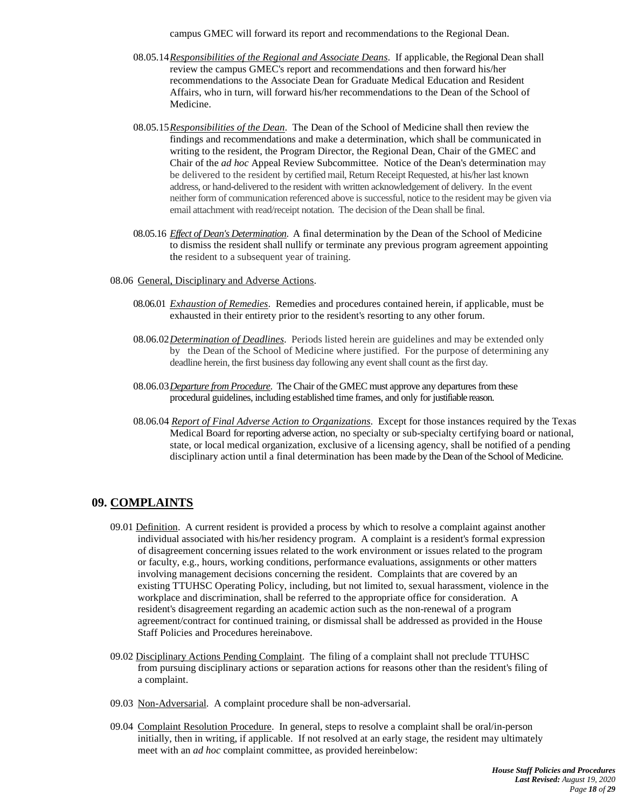campus GMEC will forward its report and recommendations to the Regional Dean.

- 08.05.14*Responsibilities of the Regional and Associate Deans*. If applicable, the Regional Dean shall review the campus GMEC's report and recommendations and then forward his/her recommendations to the Associate Dean for Graduate Medical Education and Resident Affairs, who in turn, will forward his/her recommendations to the Dean of the School of Medicine.
- 08.05.15*Responsibilities of the Dean*. The Dean of the School of Medicine shall then review the findings and recommendations and make a determination, which shall be communicated in writing to the resident, the Program Director, the Regional Dean, Chair of the GMEC and Chair of the *ad hoc* Appeal Review Subcommittee. Notice of the Dean's determination may be delivered to the resident by certified mail, Return Receipt Requested, at his/her last known address, or hand-delivered to the resident with written acknowledgement of delivery. In the event neither form of communication referenced above is successful, notice to the resident may be given via email attachment with read/receipt notation. The decision of the Dean shall be final.
- 08.05.16 *Effect of Dean's Determination*. A final determination by the Dean of the School of Medicine to dismiss the resident shall nullify or terminate any previous program agreement appointing the resident to a subsequent year of training.
- 08.06 General, Disciplinary and Adverse Actions.
	- 08.06.01 *Exhaustion of Remedies*. Remedies and procedures contained herein, if applicable, must be exhausted in their entirety prior to the resident's resorting to any other forum.
	- 08.06.02*Determination of Deadlines*. Periods listed herein are guidelines and may be extended only by the Dean of the School of Medicine where justified. For the purpose of determining any deadline herein, the first business day following any event shall count as the first day.
	- 08.06.03*Departure from Procedure*. The Chair of the GMEC must approve any departures from these procedural guidelines, including established time frames, and only for justifiable reason.
	- 08.06.04 *Report of Final Adverse Action to Organizations*. Except for those instances required by the Texas Medical Board for reporting adverse action, no specialty or sub-specialty certifying board or national, state, or local medical organization, exclusive of a licensing agency, shall be notified of a pending disciplinary action until a final determination has been made by the Dean of the School of Medicine.

# <span id="page-17-0"></span>**09. COMPLAINTS**

- 09.01 Definition. A current resident is provided a process by which to resolve a complaint against another individual associated with his/her residency program. A complaint is a resident's formal expression of disagreement concerning issues related to the work environment or issues related to the program or faculty, e.g., hours, working conditions, performance evaluations, assignments or other matters involving management decisions concerning the resident. Complaints that are covered by an existing TTUHSC Operating Policy, including, but not limited to, sexual harassment, violence in the workplace and discrimination, shall be referred to the appropriate office for consideration. A resident's disagreement regarding an academic action such as the non-renewal of a program agreement/contract for continued training, or dismissal shall be addressed as provided in the House Staff Policies and Procedures hereinabove.
- 09.02 Disciplinary Actions Pending Complaint. The filing of a complaint shall not preclude TTUHSC from pursuing disciplinary actions or separation actions for reasons other than the resident's filing of a complaint.
- 09.03 Non-Adversarial. A complaint procedure shall be non-adversarial.
- 09.04 Complaint Resolution Procedure. In general, steps to resolve a complaint shall be oral/in-person initially, then in writing, if applicable. If not resolved at an early stage, the resident may ultimately meet with an *ad hoc* complaint committee, as provided hereinbelow: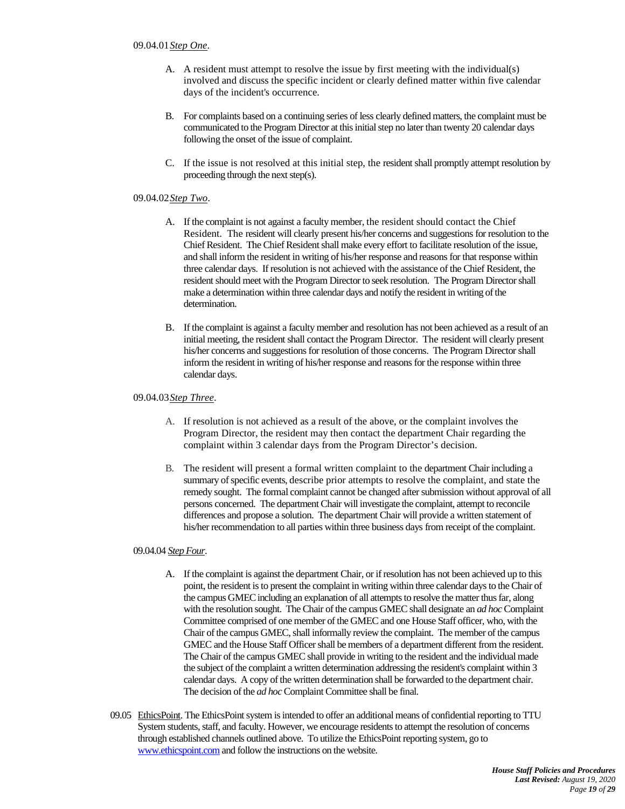- A. A resident must attempt to resolve the issue by first meeting with the individual(s) involved and discuss the specific incident or clearly defined matter within five calendar days of the incident's occurrence.
- B. For complaints based on a continuing series of less clearly defined matters, the complaint must be communicated to the Program Director at this initial step no later than twenty 20 calendar days following the onset of the issue of complaint.
- C. If the issue is not resolved at this initial step, the resident shall promptly attempt resolution by proceeding through the next step(s).

#### 09.04.02*Step Two*.

- A. If the complaint is not against a faculty member, the resident should contact the Chief Resident. The resident will clearly present his/her concerns and suggestions for resolution to the Chief Resident. The Chief Resident shall make every effort to facilitate resolution of the issue, and shall inform the resident in writing of his/her response and reasons for that response within three calendar days. If resolution is not achieved with the assistance of the Chief Resident, the resident should meet with the Program Director to seek resolution. The Program Director shall make a determination within three calendar days and notify the resident in writing of the determination.
- B. If the complaint is against a faculty member and resolution has not been achieved as a result of an initial meeting, the resident shall contact the Program Director. The resident will clearly present his/her concerns and suggestions for resolution of those concerns. The Program Director shall inform the resident in writing of his/her response and reasons for the response within three calendar days.

#### 09.04.03*Step Three*.

- A. If resolution is not achieved as a result of the above, or the complaint involves the Program Director, the resident may then contact the department Chair regarding the complaint within 3 calendar days from the Program Director's decision.
- B. The resident will present a formal written complaint to the department Chair including a summary of specific events, describe prior attempts to resolve the complaint, and state the remedy sought. The formal complaint cannot be changed after submission without approval of all persons concerned. The department Chair will investigate the complaint, attempt to reconcile differences and propose a solution. The department Chair will provide a written statement of his/her recommendation to all parties within three business days from receipt of the complaint.

#### 09.04.04 *Step Four*.

- A. If the complaint is against the department Chair, or if resolution has not been achieved up to this point, the resident is to present the complaint in writing within three calendar days to the Chair of the campus GMEC including an explanation of all attempts to resolve the matter thus far, along with the resolution sought. The Chair of the campus GMEC shall designate an *ad hoc* Complaint Committee comprised of one member of the GMEC and one House Staff officer, who, with the Chair of the campus GMEC, shall informally review the complaint. The member of the campus GMEC and the House Staff Officer shall be members of a department different from the resident. The Chair of the campus GMEC shall provide in writing to the resident and the individual made the subject of the complaint a written determination addressing the resident's complaint within 3 calendar days. A copy of the written determination shall be forwarded to the department chair. The decision of the *ad hoc* Complaint Committee shall be final.
- 09.05 EthicsPoint. The EthicsPoint system is intended to offer an additional means of confidential reporting to TTU System students, staff, and faculty. However, we encourage residents to attempt the resolution of concerns through established channels outlined above. To utilize the EthicsPoint reporting system, go to [www.ethicspoint.com](http://www.ethicspoint.com/) and follow the instructions on the website.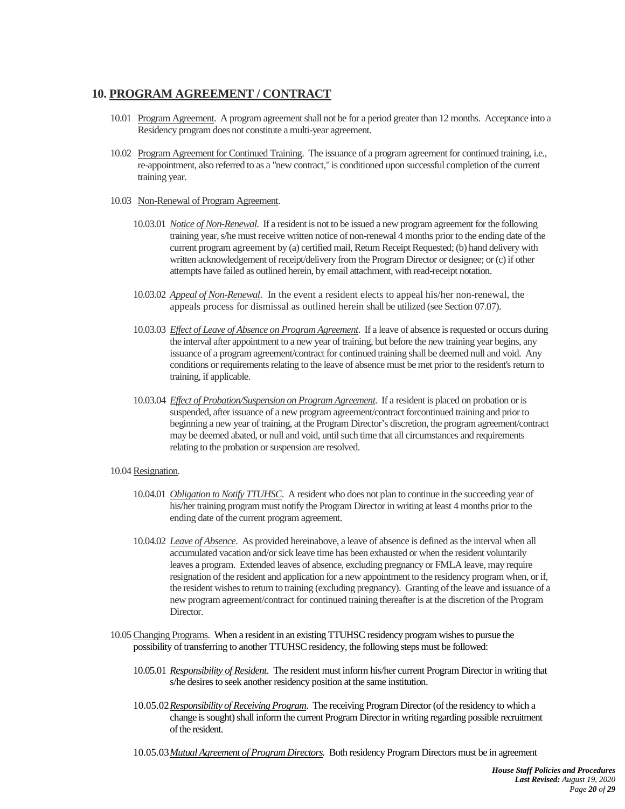# **10. PROGRAM AGREEMENT / CONTRACT**

- 10.01 Program Agreement. A program agreement shall not be for a period greater than 12 months. Acceptance into a Residency program does not constitute a multi-year agreement.
- <span id="page-19-1"></span>10.02 Program Agreement for Continued Training. The issuance of a program agreement for continued training, i.e., re-appointment, also referred to as a "new contract," is conditioned upon successful completion of the current training year.
- 10.03 Non-Renewal of Program Agreement.
	- 10.03.01 *Notice of Non-Renewal*. If a resident is not to be issued a new program agreement for the following training year, s/he must receive written notice of non-renewal 4 months prior to the ending date of the current program agreement by (a) certified mail, Return Receipt Requested; (b) hand delivery with written acknowledgement of receipt/delivery from the Program Director or designee; or (c) if other attempts have failed as outlined herein, by email attachment, with read-receipt notation.
	- 10.03.02 *Appeal of Non-Renewal*. In the event a resident elects to appeal his/her non-renewal, the appeals process for dismissal as outlined herein shall be utilized (see Section 07.07).
	- 10.03.03 *Effect of Leave of Absence on Program Agreement*. If a leave of absence is requested or occurs during the interval after appointment to a new year of training, but before the new training year begins, any issuance of a program agreement/contract for continued training shall be deemed null and void. Any conditions or requirements relating to the leave of absence must be met prior to the resident's return to training, if applicable.
	- 10.03.04 *Effect of Probation/Suspension on Program Agreement*. If a resident is placed on probation or is suspended, after issuance of a new program agreement/contract forcontinued training and prior to beginning a new year of training, at the Program Director's discretion, the program agreement/contract may be deemed abated, or null and void, until such time that all circumstances and requirements relating to the probation or suspension are resolved.

### 10.04 Resignation.

- 10.04.01 *Obligation to Notify TTUHSC*. A resident who does not plan to continue in the succeeding year of his/her training program must notify the Program Director in writing at least 4 months prior to the ending date of the current program agreement.
- 10.04.02 *Leave of Absence*. As provided hereinabove, a leave of absence is defined as the interval when all accumulated vacation and/or sick leave time has been exhausted or when the resident voluntarily leaves a program. Extended leaves of absence, excluding pregnancy or FMLA leave, may require resignation of the resident and application for a new appointment to the residency program when, or if, the resident wishes to return to training (excluding pregnancy). Granting of the leave and issuance of a new program agreement/contract for continued training thereafter is at the discretion of the Program Director.
- <span id="page-19-0"></span>10.05Changing Programs. When a resident in an existing TTUHSC residency program wishes to pursue the possibility of transferring to another TTUHSC residency, the following steps must be followed:
	- 10.05.01 *Responsibility of Resident*. The resident must inform his/her current Program Director in writing that s/he desires to seek another residency position at the same institution.
	- 10.05.02*Responsibility of Receiving Program*. The receiving Program Director (of the residency to which a change is sought) shall inform the current Program Directorin writing regarding possible recruitment of the resident.
	- 10.05.03*Mutual Agreement of Program Directors.* Both residency Program Directors must be in agreement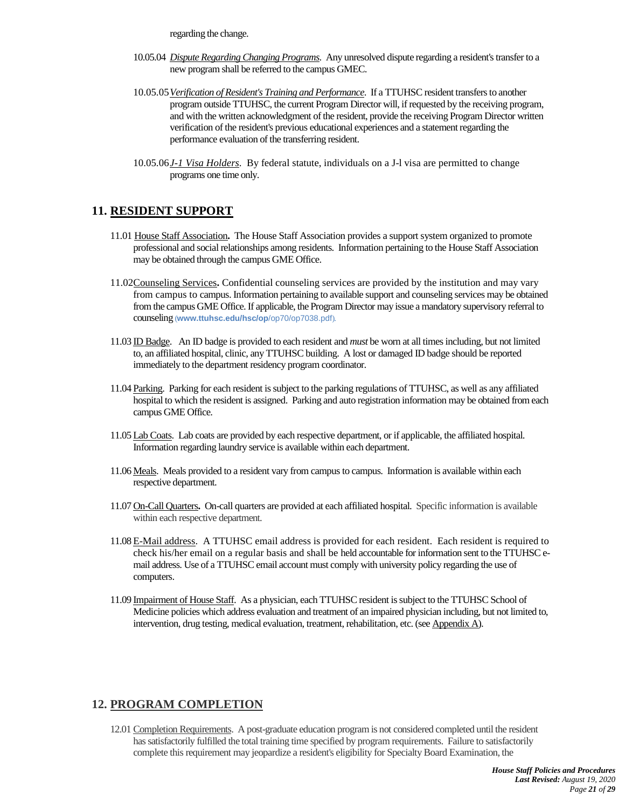regarding the change.

- 10.05.04 *Dispute Regarding Changing Programs*. Any unresolved dispute regarding a resident's transfer to a new program shall be referred to the campus GMEC.
- 10.05.05*Verification of Resident's Training and Performance*. If a TTUHSC resident transfers to another program outside TTUHSC, the current Program Director will, if requested by the receiving program, and with the written acknowledgment of the resident, provide the receiving Program Director written verification of the resident's previous educational experiences and a statement regarding the performance evaluation of the transferring resident.
- 10.05.06*J-1 Visa Holders*. By federal statute, individuals on a J-l visa are permitted to change programs one time only.

# <span id="page-20-7"></span>**11. RESIDENT SUPPORT**

- <span id="page-20-8"></span>11.01 House Staff Association**.** The House Staff Association provides a support system organized to promote professional and social relationships among residents. Information pertaining to the House Staff Association may be obtained through the campus GME Office.
- <span id="page-20-3"></span>11.02Counseling Services**.** Confidential counseling services are provided by the institution and may vary from campus to campus. Information pertaining to available support and counseling services may be obtained from the campus GME Office. If applicable, the Program Director may issue a mandatory supervisory referral to counseling (**www.ttuhsc.edu/hsc/op**/op70/op7038.pdf).
- <span id="page-20-9"></span>11.03 ID Badge.An ID badge is provided to each resident and *must* be worn at all times including, but not limited to, an affiliated hospital, clinic, any TTUHSC building. A lost or damaged ID badge should be reported immediately to the department residency program coordinator.
- <span id="page-20-4"></span>11.04 Parking. Parking for each resident is subject to the parking regulations of TTUHSC, as well as any affiliated hospital to which the resident is assigned. Parking and auto registration information may be obtained from each campus GME Office.
- <span id="page-20-0"></span>11.05 Lab Coats. Lab coats are provided by each respective department, or if applicable, the affiliated hospital. Information regarding laundry service is available within each department.
- <span id="page-20-1"></span>11.06 Meals. Meals provided to a resident vary from campus to campus. Information is available within each respective department.
- <span id="page-20-2"></span>11.07 On-Call Quarters**.** On-call quarters are provided at each affiliated hospital. Specific information is available within each respective department.
- <span id="page-20-6"></span>11.08 [E-Mail address.](http://www.ttuhsc.edu/it/policy/email.aspx) A TTUHSC email address is provided for each resident. Each resident is required to check his/her email on a regular basis and shall be held accountable for information sent to the TTUHSC email address. Use of a TTUHSC email account must comply with university policy regarding the use of computers.
- 11.09 Impairment of House Staff. As a physician, each TTUHSC resident is subject to the TTUHSC School of Medicine policies which address evaluation and treatment of an impaired physician including, but not limited to, intervention, drug testing, medical evaluation, treatment, rehabilitation, etc. (se[e Appendix A\)](#page-22-0).

# <span id="page-20-5"></span>**12. PROGRAM COMPLETION**

12.01 Completion Requirements. A post-graduate education program is not considered completed until the resident has satisfactorily fulfilled the total training time specified by program requirements. Failure to satisfactorily complete this requirement may jeopardize a resident's eligibility for Specialty Board Examination, the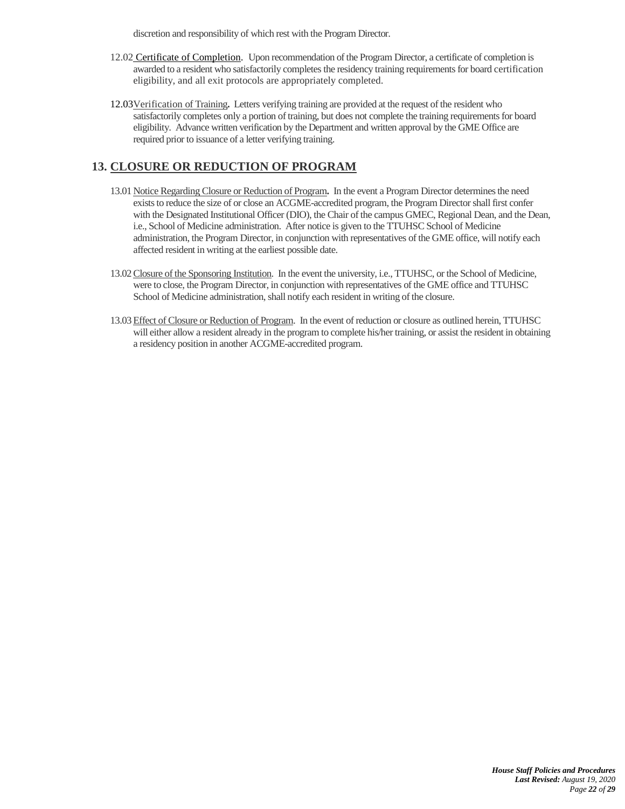discretion and responsibility of which rest with the Program Director.

- 12.02 Certificate of Completion. Upon recommendation of the Program Director, a certificate of completion is awarded to a resident who satisfactorily completes the residency training requirements for board certification eligibility, and all exit protocols are appropriately completed.
- 12.03Verification of Training**.** Letters verifying training are provided at the request of the resident who satisfactorily completes only a portion of training, but does not complete the training requirements for board eligibility. Advance written verification by the Department and written approval by the GME Office are required prior to issuance of a letter verifying training.

# <span id="page-21-0"></span>**13. CLOSURE OR REDUCTION OF PROGRAM**

- 13.01Notice Regarding Closure or Reduction of Program**.** In the event a Program Director determines the need exists to reduce the size of or close an ACGME-accredited program, the Program Director shall first confer with the Designated Institutional Officer (DIO), the Chair of the campus GMEC, Regional Dean, and the Dean, i.e., School of Medicine administration. After notice is given to the TTUHSC School of Medicine administration, the Program Director, in conjunction with representatives of the GME office, will notify each affected resident in writing at the earliest possible date.
- 13.02Closure of the Sponsoring Institution. In the event the university, i.e., TTUHSC, or the School of Medicine, were to close, the Program Director, in conjunction with representatives of the GME office and TTUHSC School of Medicine administration, shall notify each resident in writing of the closure.
- 13.03Effect of Closure or Reduction of Program. In the event of reduction or closure as outlined herein, TTUHSC will either allow a resident already in the program to complete his/her training, or assist the resident in obtaining a residency position in another ACGME-accredited program.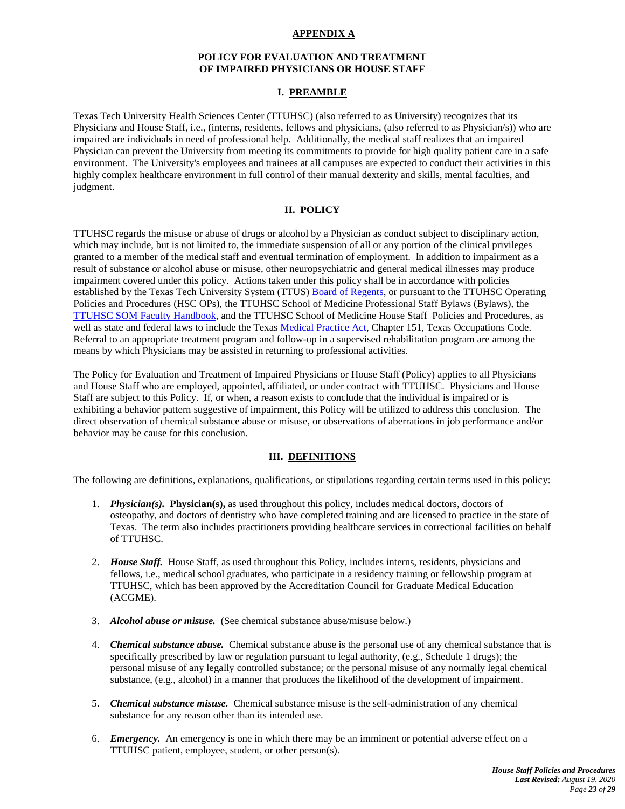### **APPENDIX A**

### **POLICY FOR EVALUATION AND TREATMENT OF IMPAIRED PHYSICIANS OR HOUSE STAFF**

### **I. PREAMBLE**

<span id="page-22-0"></span>Texas Tech University Health Sciences Center (TTUHSC) (also referred to as University) recognizes that its Physician*s* and House Staff, i.e., (interns, residents, fellows and physicians, (also referred to as Physician/s)) who are impaired are individuals in need of professional help. Additionally, the medical staff realizes that an impaired Physician can prevent the University from meeting its commitments to provide for high quality patient care in a safe environment. The University's employees and trainees at all campuses are expected to conduct their activities in this highly complex healthcare environment in full control of their manual dexterity and skills, mental faculties, and judgment.

#### **II. POLICY**

TTUHSC regards the misuse or abuse of drugs or alcohol by a Physician as conduct subject to disciplinary action, which may include, but is not limited to, the immediate suspension of all or any portion of the clinical privileges granted to a member of the medical staff and eventual termination of employment. In addition to impairment as a result of substance or alcohol abuse or misuse, other neuropsychiatric and general medical illnesses may produce impairment covered under this policy. Actions taken under this policy shall be in accordance with policies established by the Texas Tech University System (TTUS) **Board of Regents**, or pursuant to the TTUHSC Operating Policies and Procedures (HSC OPs), the TTUHSC School of Medicine Professional Staff Bylaws (Bylaws), the [TTUHSC SOM Faculty Handbook,](http://www.ttuhsc.edu/som/facultydevelopment/e-handbook.aspx) and the TTUHSC School of Medicine House Staff Policies and Procedures, as well as state and federal laws to include the Texa[s Medical Practice Act,](http://www.statutes.legis.state.tx.us/?link=OC) Chapter 151, Texas Occupations Code. Referral to an appropriate treatment program and follow-up in a supervised rehabilitation program are among the means by which Physicians may be assisted in returning to professional activities.

The Policy for Evaluation and Treatment of Impaired Physicians or House Staff (Policy) applies to all Physicians and House Staff who are employed, appointed, affiliated, or under contract with TTUHSC. Physicians and House Staff are subject to this Policy. If, or when, a reason exists to conclude that the individual is impaired or is exhibiting a behavior pattern suggestive of impairment, this Policy will be utilized to address this conclusion. The direct observation of chemical substance abuse or misuse, or observations of aberrations in job performance and/or behavior may be cause for this conclusion.

### **III. DEFINITIONS**

The following are definitions, explanations, qualifications, or stipulations regarding certain terms used in this policy:

- 1. *Physician(s).* **Physician(s),** as used throughout this policy, includes medical doctors, doctors of osteopathy, and doctors of dentistry who have completed training and are licensed to practice in the state of Texas. The term also includes practitioners providing healthcare services in correctional facilities on behalf of TTUHSC.
- 2. *House Staff.* House Staff, as used throughout this Policy, includes interns, residents, physicians and fellows, i.e., medical school graduates, who participate in a residency training or fellowship program at TTUHSC, which has been approved by the Accreditation Council for Graduate Medical Education (ACGME).
- 3. *Alcohol abuse or misuse.* (See chemical substance abuse/misuse below.)
- 4. *Chemical substance abuse.* Chemical substance abuse is the personal use of any chemical substance that is specifically prescribed by law or regulation pursuant to legal authority, (e.g., Schedule 1 drugs); the personal misuse of any legally controlled substance; or the personal misuse of any normally legal chemical substance, (e.g., alcohol) in a manner that produces the likelihood of the development of impairment.
- 5. *Chemical substance misuse.* Chemical substance misuse is the self-administration of any chemical substance for any reason other than its intended use.
- 6. *Emergency.* An emergency is one in which there may be an imminent or potential adverse effect on a TTUHSC patient, employee, student, or other person(s).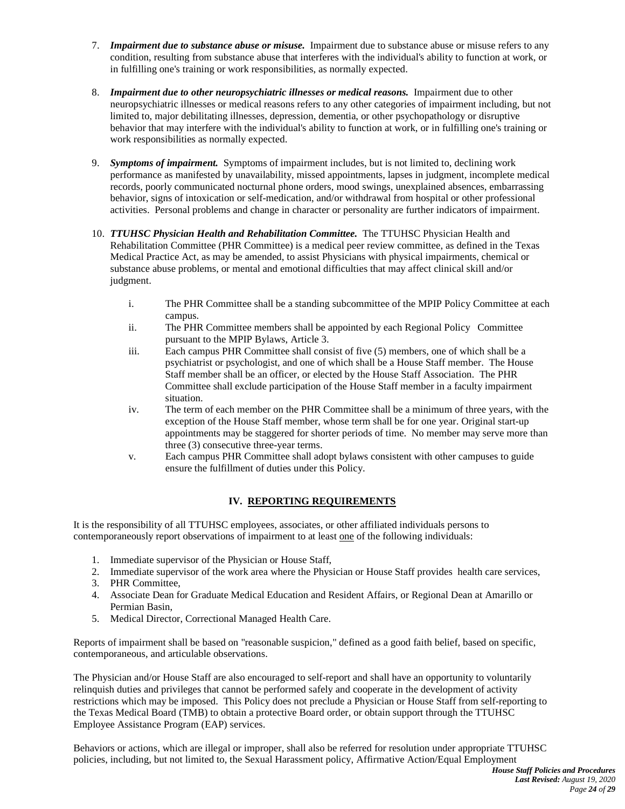- 7. *Impairment due to substance abuse or misuse.* Impairment due to substance abuse or misuse refers to any condition, resulting from substance abuse that interferes with the individual's ability to function at work, or in fulfilling one's training or work responsibilities, as normally expected.
- 8. *Impairment due to other neuropsychiatric illnesses or medical reasons.* Impairment due to other neuropsychiatric illnesses or medical reasons refers to any other categories of impairment including, but not limited to, major debilitating illnesses, depression, dementia, or other psychopathology or disruptive behavior that may interfere with the individual's ability to function at work, or in fulfilling one's training or work responsibilities as normally expected.
- 9. *Symptoms of impairment.* Symptoms of impairment includes, but is not limited to, declining work performance as manifested by unavailability, missed appointments, lapses in judgment, incomplete medical records, poorly communicated nocturnal phone orders, mood swings, unexplained absences, embarrassing behavior, signs of intoxication or self-medication, and/or withdrawal from hospital or other professional activities. Personal problems and change in character or personality are further indicators of impairment.
- 10. *TTUHSC Physician Health and Rehabilitation Committee.* The TTUHSC Physician Health and Rehabilitation Committee (PHR Committee) is a medical peer review committee, as defined in the Texas Medical Practice Act, as may be amended, to assist Physicians with physical impairments, chemical or substance abuse problems, or mental and emotional difficulties that may affect clinical skill and/or judgment.
	- i. The PHR Committee shall be a standing subcommittee of the MPIP Policy Committee at each campus.
	- ii. The PHR Committee members shall be appointed by each Regional Policy Committee pursuant to the MPIP Bylaws, Article 3.
	- iii. Each campus PHR Committee shall consist of five (5) members, one of which shall be a psychiatrist or psychologist, and one of which shall be a House Staff member. The House Staff member shall be an officer, or elected by the House Staff Association. The PHR Committee shall exclude participation of the House Staff member in a faculty impairment situation.
	- iv. The term of each member on the PHR Committee shall be a minimum of three years, with the exception of the House Staff member, whose term shall be for one year. Original start-up appointments may be staggered for shorter periods of time. No member may serve more than three (3) consecutive three-year terms.
	- v. Each campus PHR Committee shall adopt bylaws consistent with other campuses to guide ensure the fulfillment of duties under this Policy.

# **IV. REPORTING REQUIREMENTS**

It is the responsibility of all TTUHSC employees, associates, or other affiliated individuals persons to contemporaneously report observations of impairment to at least one of the following individuals:

- 1. Immediate supervisor of the Physician or House Staff,
- 2. Immediate supervisor of the work area where the Physician or House Staff provides health care services,
- 3. PHR Committee,
- 4. Associate Dean for Graduate Medical Education and Resident Affairs, or Regional Dean at Amarillo or Permian Basin,
- 5. Medical Director, Correctional Managed Health Care.

Reports of impairment shall be based on "reasonable suspicion," defined as a good faith belief, based on specific, contemporaneous, and articulable observations.

The Physician and/or House Staff are also encouraged to self-report and shall have an opportunity to voluntarily relinquish duties and privileges that cannot be performed safely and cooperate in the development of activity restrictions which may be imposed. This Policy does not preclude a Physician or House Staff from self-reporting to the Texas Medical Board (TMB) to obtain a protective Board order, or obtain support through the TTUHSC Employee Assistance Program (EAP) services.

Behaviors or actions, which are illegal or improper, shall also be referred for resolution under appropriate TTUHSC policies, including, but not limited to, the Sexual Harassment policy, Affirmative Action/Equal Employment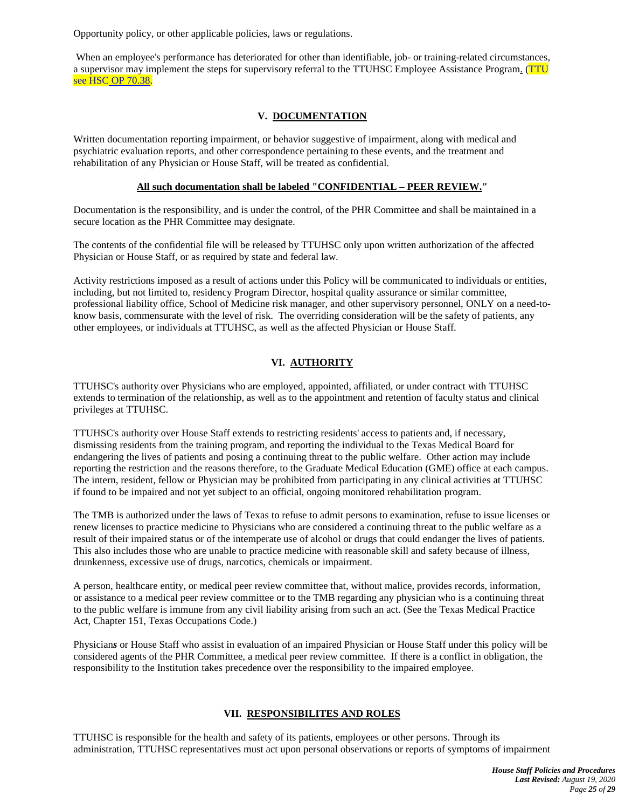Opportunity policy, or other applicable policies, laws or regulations.

When an employee's performance has deteriorated for other than identifiable, job- or training-related circumstances, a supervisor may implement the steps for supervisory referral to the TTUHSC Employee Assistance Program. [\(TTU](http://www.ttuhsc.edu/hsc/op/op70/op7038.pdf)  see HSC [OP 70.38.](http://www.ttuhsc.edu/hsc/op/op70/op7038.pdf)

### **V. DOCUMENTATION**

Written documentation reporting impairment, or behavior suggestive of impairment, along with medical and psychiatric evaluation reports, and other correspondence pertaining to these events, and the treatment and rehabilitation of any Physician or House Staff, will be treated as confidential.

### **All such documentation shall be labeled "CONFIDENTIAL – PEER REVIEW."**

Documentation is the responsibility, and is under the control, of the PHR Committee and shall be maintained in a secure location as the PHR Committee may designate.

The contents of the confidential file will be released by TTUHSC only upon written authorization of the affected Physician or House Staff, or as required by state and federal law.

Activity restrictions imposed as a result of actions under this Policy will be communicated to individuals or entities, including, but not limited to, residency Program Director, hospital quality assurance or similar committee, professional liability office, School of Medicine risk manager, and other supervisory personnel, ONLY on a need-toknow basis, commensurate with the level of risk. The overriding consideration will be the safety of patients, any other employees, or individuals at TTUHSC, as well as the affected Physician or House Staff.

# **VI. AUTHORITY**

TTUHSC's authority over Physicians who are employed, appointed, affiliated, or under contract with TTUHSC extends to termination of the relationship, as well as to the appointment and retention of faculty status and clinical privileges at TTUHSC.

TTUHSC's authority over House Staff extends to restricting residents' access to patients and, if necessary, dismissing residents from the training program, and reporting the individual to the Texas Medical Board for endangering the lives of patients and posing a continuing threat to the public welfare. Other action may include reporting the restriction and the reasons therefore, to the Graduate Medical Education (GME) office at each campus. The intern, resident, fellow or Physician may be prohibited from participating in any clinical activities at TTUHSC if found to be impaired and not yet subject to an official, ongoing monitored rehabilitation program.

The TMB is authorized under the laws of Texas to refuse to admit persons to examination, refuse to issue licenses or renew licenses to practice medicine to Physicians who are considered a continuing threat to the public welfare as a result of their impaired status or of the intemperate use of alcohol or drugs that could endanger the lives of patients. This also includes those who are unable to practice medicine with reasonable skill and safety because of illness, drunkenness, excessive use of drugs, narcotics, chemicals or impairment.

A person, healthcare entity, or medical peer review committee that, without malice, provides records, information, or assistance to a medical peer review committee or to the TMB regarding any physician who is a continuing threat to the public welfare is immune from any civil liability arising from such an act. (See the Texas Medical Practice Act, Chapter 151, Texas Occupations Code.)

Physician*s* or House Staff who assist in evaluation of an impaired Physician or House Staff under this policy will be considered agents of the PHR Committee, a medical peer review committee. If there is a conflict in obligation, the responsibility to the Institution takes precedence over the responsibility to the impaired employee.

# **VII. RESPONSIBILITES AND ROLES**

TTUHSC is responsible for the health and safety of its patients, employees or other persons. Through its administration, TTUHSC representatives must act upon personal observations or reports of symptoms of impairment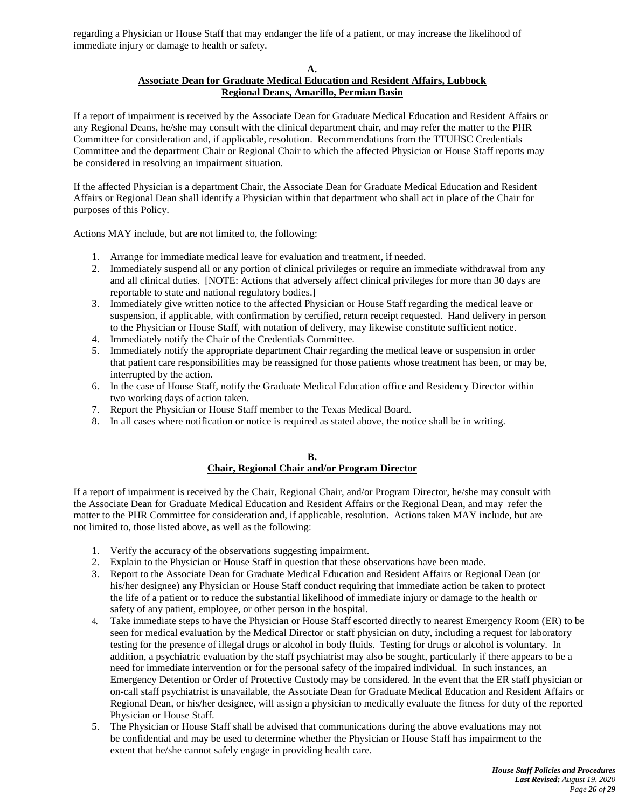regarding a Physician or House Staff that may endanger the life of a patient, or may increase the likelihood of immediate injury or damage to health or safety.

**A.**

## **Associate Dean for Graduate Medical Education and Resident Affairs, Lubbock Regional Deans, Amarillo, Permian Basin**

If a report of impairment is received by the Associate Dean for Graduate Medical Education and Resident Affairs or any Regional Deans, he/she may consult with the clinical department chair, and may refer the matter to the PHR Committee for consideration and, if applicable, resolution. Recommendations from the TTUHSC Credentials Committee and the department Chair or Regional Chair to which the affected Physician or House Staff reports may be considered in resolving an impairment situation.

If the affected Physician is a department Chair, the Associate Dean for Graduate Medical Education and Resident Affairs or Regional Dean shall identify a Physician within that department who shall act in place of the Chair for purposes of this Policy.

Actions MAY include, but are not limited to, the following:

- 1. Arrange for immediate medical leave for evaluation and treatment, if needed.
- 2. Immediately suspend all or any portion of clinical privileges or require an immediate withdrawal from any and all clinical duties. [NOTE: Actions that adversely affect clinical privileges for more than 30 days are reportable to state and national regulatory bodies.]
- 3. Immediately give written notice to the affected Physician or House Staff regarding the medical leave or suspension, if applicable, with confirmation by certified, return receipt requested. Hand delivery in person to the Physician or House Staff, with notation of delivery, may likewise constitute sufficient notice.
- 4. Immediately notify the Chair of the Credentials Committee.
- 5. Immediately notify the appropriate department Chair regarding the medical leave or suspension in order that patient care responsibilities may be reassigned for those patients whose treatment has been, or may be, interrupted by the action.
- 6. In the case of House Staff, notify the Graduate Medical Education office and Residency Director within two working days of action taken.
- 7. Report the Physician or House Staff member to the Texas Medical Board.
- 8. In all cases where notification or notice is required as stated above, the notice shall be in writing.

#### **B. Chair, Regional Chair and/or Program Director**

If a report of impairment is received by the Chair, Regional Chair, and/or Program Director, he/she may consult with the Associate Dean for Graduate Medical Education and Resident Affairs or the Regional Dean, and may refer the matter to the PHR Committee for consideration and, if applicable, resolution. Actions taken MAY include, but are not limited to, those listed above, as well as the following:

- 1. Verify the accuracy of the observations suggesting impairment.
- 2. Explain to the Physician or House Staff in question that these observations have been made.
- 3. Report to the Associate Dean for Graduate Medical Education and Resident Affairs or Regional Dean (or his/her designee) any Physician or House Staff conduct requiring that immediate action be taken to protect the life of a patient or to reduce the substantial likelihood of immediate injury or damage to the health or safety of any patient, employee, or other person in the hospital.
- 4. Take immediate steps to have the Physician or House Staff escorted directly to nearest Emergency Room (ER) to be seen for medical evaluation by the Medical Director or staff physician on duty, including a request for laboratory testing for the presence of illegal drugs or alcohol in body fluids. Testing for drugs or alcohol is voluntary. In addition, a psychiatric evaluation by the staff psychiatrist may also be sought, particularly if there appears to be a need for immediate intervention or for the personal safety of the impaired individual. In such instances, an Emergency Detention or Order of Protective Custody may be considered. In the event that the ER staff physician or on-call staff psychiatrist is unavailable, the Associate Dean for Graduate Medical Education and Resident Affairs or Regional Dean, or his/her designee, will assign a physician to medically evaluate the fitness for duty of the reported Physician or House Staff.
- 5. The Physician or House Staff shall be advised that communications during the above evaluations may not be confidential and may be used to determine whether the Physician or House Staff has impairment to the extent that he/she cannot safely engage in providing health care.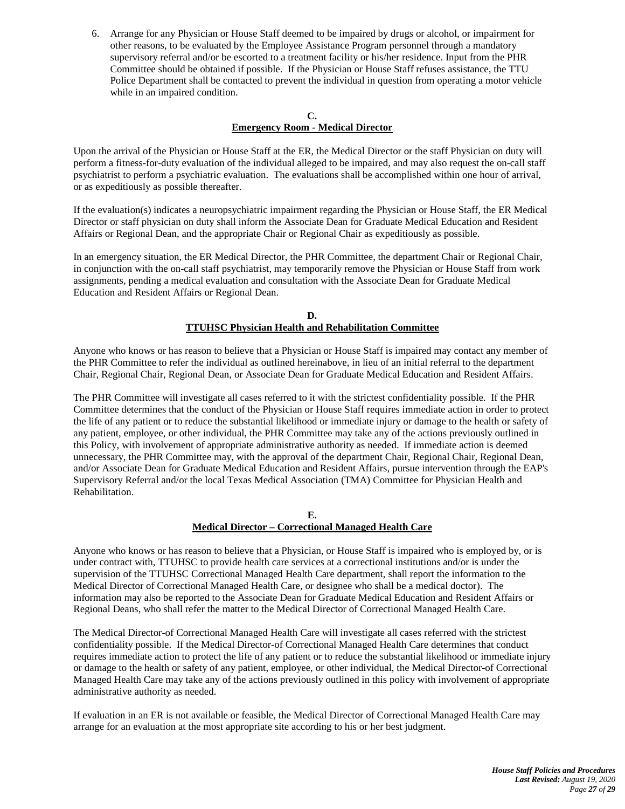6. Arrange for any Physician or House Staff deemed to be impaired by drugs or alcohol, or impairment for other reasons, to be evaluated by the Employee Assistance Program personnel through a mandatory supervisory referral and/or be escorted to a treatment facility or his/her residence. Input from the PHR Committee should be obtained if possible. If the Physician or House Staff refuses assistance, the TTU Police Department shall be contacted to prevent the individual in question from operating a motor vehicle while in an impaired condition.

#### **C. Emergency Room - Medical Director**

Upon the arrival of the Physician or House Staff at the ER, the Medical Director or the staff Physician on duty will perform a fitness-for-duty evaluation of the individual alleged to be impaired, and may also request the on-call staff psychiatrist to perform a psychiatric evaluation. The evaluations shall be accomplished within one hour of arrival, or as expeditiously as possible thereafter.

If the evaluation(s) indicates a neuropsychiatric impairment regarding the Physician or House Staff, the ER Medical Director or staff physician on duty shall inform the Associate Dean for Graduate Medical Education and Resident Affairs or Regional Dean, and the appropriate Chair or Regional Chair as expeditiously as possible.

In an emergency situation, the ER Medical Director, the PHR Committee, the department Chair or Regional Chair, in conjunction with the on-call staff psychiatrist, may temporarily remove the Physician or House Staff from work assignments, pending a medical evaluation and consultation with the Associate Dean for Graduate Medical Education and Resident Affairs or Regional Dean.

#### **D. TTUHSC Physician Health and Rehabilitation Committee**

Anyone who knows or has reason to believe that a Physician or House Staff is impaired may contact any member of the PHR Committee to refer the individual as outlined hereinabove, in lieu of an initial referral to the department Chair, Regional Chair, Regional Dean, or Associate Dean for Graduate Medical Education and Resident Affairs.

The PHR Committee will investigate all cases referred to it with the strictest confidentiality possible. If the PHR Committee determines that the conduct of the Physician or House Staff requires immediate action in order to protect the life of any patient or to reduce the substantial likelihood or immediate injury or damage to the health or safety of any patient, employee, or other individual, the PHR Committee may take any of the actions previously outlined in this Policy, with involvement of appropriate administrative authority as needed. If immediate action is deemed unnecessary, the PHR Committee may, with the approval of the department Chair, Regional Chair, Regional Dean, and/or Associate Dean for Graduate Medical Education and Resident Affairs, pursue intervention through the EAP's Supervisory Referral and/or the local Texas Medical Association (TMA) Committee for Physician Health and Rehabilitation.

> **E. Medical Director – Correctional Managed Health Care**

Anyone who knows or has reason to believe that a Physician, or House Staff is impaired who is employed by, or is under contract with, TTUHSC to provide health care services at a correctional institutions and/or is under the supervision of the TTUHSC Correctional Managed Health Care department, shall report the information to the Medical Director of Correctional Managed Health Care, or designee who shall be a medical doctor). The information may also be reported to the Associate Dean for Graduate Medical Education and Resident Affairs or Regional Deans, who shall refer the matter to the Medical Director of Correctional Managed Health Care.

The Medical Director-of Correctional Managed Health Care will investigate all cases referred with the strictest confidentiality possible. If the Medical Director-of Correctional Managed Health Care determines that conduct requires immediate action to protect the life of any patient or to reduce the substantial likelihood or immediate injury or damage to the health or safety of any patient, employee, or other individual, the Medical Director-of Correctional Managed Health Care may take any of the actions previously outlined in this policy with involvement of appropriate administrative authority as needed.

If evaluation in an ER is not available or feasible, the Medical Director of Correctional Managed Health Care may arrange for an evaluation at the most appropriate site according to his or her best judgment.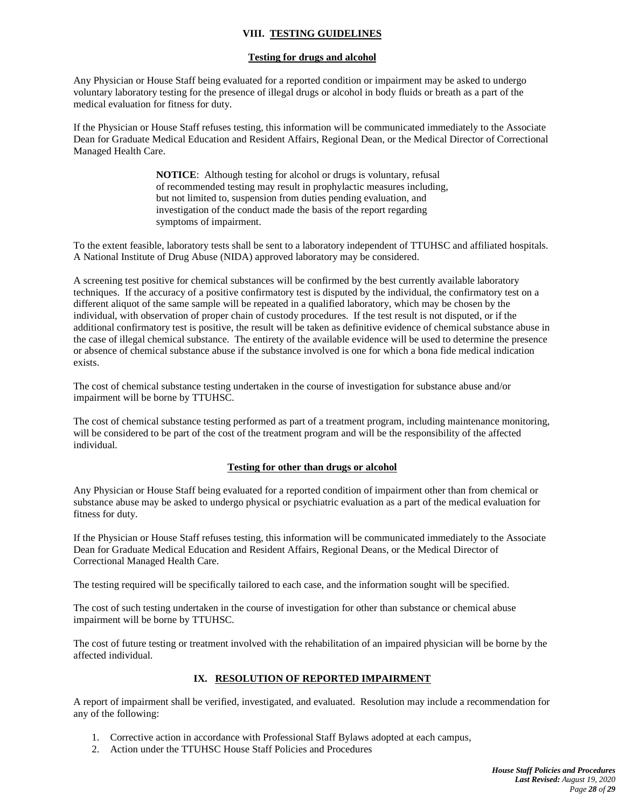# **VIII. TESTING GUIDELINES**

### **Testing for drugs and alcohol**

Any Physician or House Staff being evaluated for a reported condition or impairment may be asked to undergo voluntary laboratory testing for the presence of illegal drugs or alcohol in body fluids or breath as a part of the medical evaluation for fitness for duty.

If the Physician or House Staff refuses testing, this information will be communicated immediately to the Associate Dean for Graduate Medical Education and Resident Affairs, Regional Dean, or the Medical Director of Correctional Managed Health Care.

> **NOTICE**: Although testing for alcohol or drugs is voluntary, refusal of recommended testing may result in prophylactic measures including, but not limited to, suspension from duties pending evaluation, and investigation of the conduct made the basis of the report regarding symptoms of impairment.

To the extent feasible, laboratory tests shall be sent to a laboratory independent of TTUHSC and affiliated hospitals. A National Institute of Drug Abuse (NIDA) approved laboratory may be considered.

A screening test positive for chemical substances will be confirmed by the best currently available laboratory techniques. If the accuracy of a positive confirmatory test is disputed by the individual, the confirmatory test on a different aliquot of the same sample will be repeated in a qualified laboratory, which may be chosen by the individual, with observation of proper chain of custody procedures. If the test result is not disputed, or if the additional confirmatory test is positive, the result will be taken as definitive evidence of chemical substance abuse in the case of illegal chemical substance. The entirety of the available evidence will be used to determine the presence or absence of chemical substance abuse if the substance involved is one for which a bona fide medical indication exists.

The cost of chemical substance testing undertaken in the course of investigation for substance abuse and/or impairment will be borne by TTUHSC.

The cost of chemical substance testing performed as part of a treatment program, including maintenance monitoring, will be considered to be part of the cost of the treatment program and will be the responsibility of the affected individual.

### **Testing for other than drugs or alcohol**

Any Physician or House Staff being evaluated for a reported condition of impairment other than from chemical or substance abuse may be asked to undergo physical or psychiatric evaluation as a part of the medical evaluation for fitness for duty.

If the Physician or House Staff refuses testing, this information will be communicated immediately to the Associate Dean for Graduate Medical Education and Resident Affairs, Regional Deans, or the Medical Director of Correctional Managed Health Care.

The testing required will be specifically tailored to each case, and the information sought will be specified.

The cost of such testing undertaken in the course of investigation for other than substance or chemical abuse impairment will be borne by TTUHSC.

The cost of future testing or treatment involved with the rehabilitation of an impaired physician will be borne by the affected individual.

### **IX. RESOLUTION OF REPORTED IMPAIRMENT**

A report of impairment shall be verified, investigated, and evaluated. Resolution may include a recommendation for any of the following:

- 1. Corrective action in accordance with Professional Staff Bylaws adopted at each campus,
- 2. Action under the TTUHSC House Staff Policies and Procedures